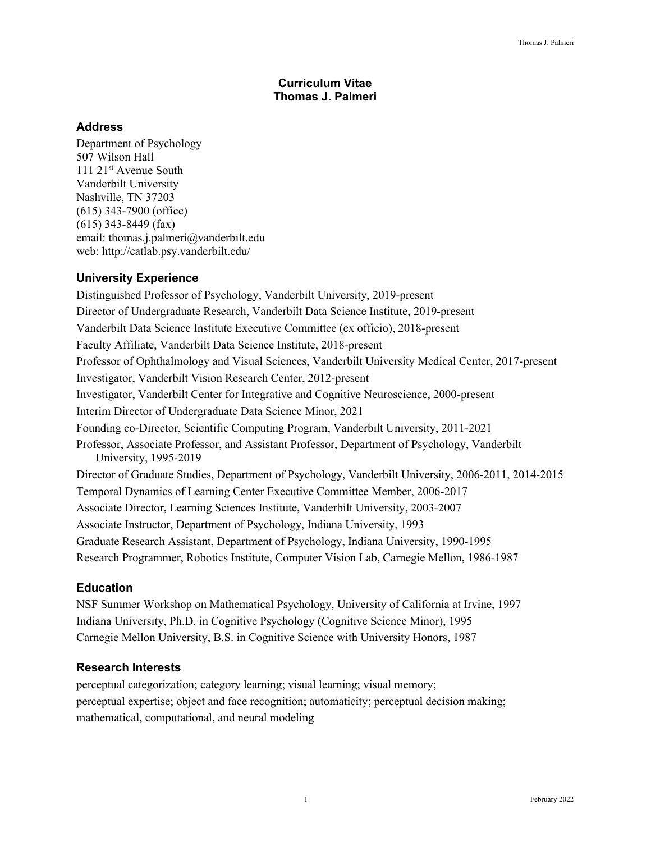### **Curriculum Vitae Thomas J. Palmeri**

## **Address**

Department of Psychology 507 Wilson Hall 111 21<sup>st</sup> Avenue South Vanderbilt University Nashville, TN 37203 (615) 343-7900 (office) (615) 343-8449 (fax) email: thomas.j.palmeri@vanderbilt.edu web: http://catlab.psy.vanderbilt.edu/

# **University Experience**

Distinguished Professor of Psychology, Vanderbilt University, 2019-present Director of Undergraduate Research, Vanderbilt Data Science Institute, 2019-present Vanderbilt Data Science Institute Executive Committee (ex officio), 2018-present Faculty Affiliate, Vanderbilt Data Science Institute, 2018-present Professor of Ophthalmology and Visual Sciences, Vanderbilt University Medical Center, 2017-present Investigator, Vanderbilt Vision Research Center, 2012-present Investigator, Vanderbilt Center for Integrative and Cognitive Neuroscience, 2000-present Interim Director of Undergraduate Data Science Minor, 2021 Founding co-Director, Scientific Computing Program, Vanderbilt University, 2011-2021 Professor, Associate Professor, and Assistant Professor, Department of Psychology, Vanderbilt University, 1995-2019 Director of Graduate Studies, Department of Psychology, Vanderbilt University, 2006-2011, 2014-2015 Temporal Dynamics of Learning Center Executive Committee Member, 2006-2017 Associate Director, Learning Sciences Institute, Vanderbilt University, 2003-2007 Associate Instructor, Department of Psychology, Indiana University, 1993 Graduate Research Assistant, Department of Psychology, Indiana University, 1990-1995 Research Programmer, Robotics Institute, Computer Vision Lab, Carnegie Mellon, 1986-1987

# **Education**

NSF Summer Workshop on Mathematical Psychology, University of California at Irvine, 1997 Indiana University, Ph.D. in Cognitive Psychology (Cognitive Science Minor), 1995 Carnegie Mellon University, B.S. in Cognitive Science with University Honors, 1987

# **Research Interests**

perceptual categorization; category learning; visual learning; visual memory; perceptual expertise; object and face recognition; automaticity; perceptual decision making; mathematical, computational, and neural modeling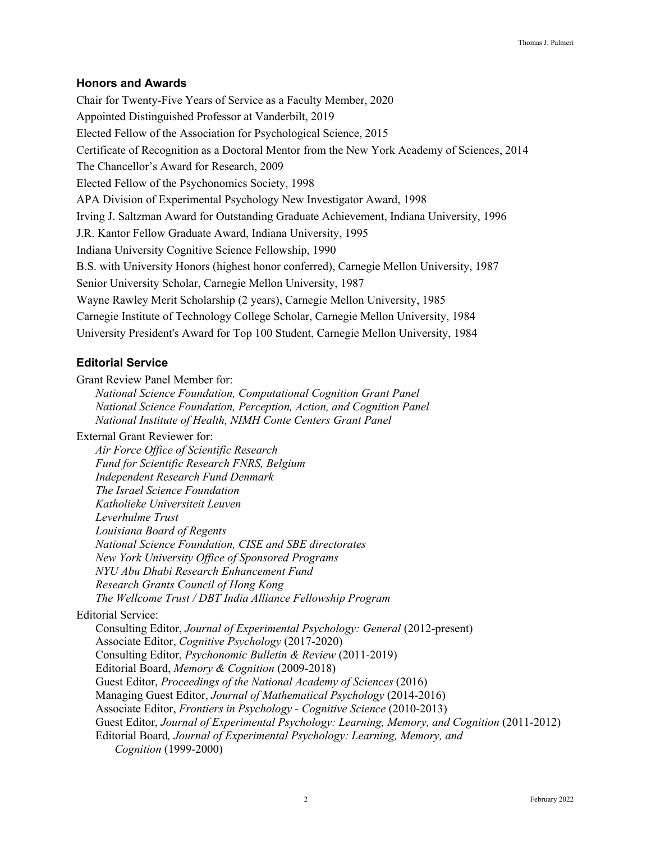### **Honors and Awards**

Chair for Twenty-Five Years of Service as a Faculty Member, 2020 Appointed Distinguished Professor at Vanderbilt, 2019 Elected Fellow of the Association for Psychological Science, 2015 Certificate of Recognition as a Doctoral Mentor from the New York Academy of Sciences, 2014 The Chancellor's Award for Research, 2009 Elected Fellow of the Psychonomics Society, 1998 APA Division of Experimental Psychology New Investigator Award, 1998 Irving J. Saltzman Award for Outstanding Graduate Achievement, Indiana University, 1996 J.R. Kantor Fellow Graduate Award, Indiana University, 1995 Indiana University Cognitive Science Fellowship, 1990 B.S. with University Honors (highest honor conferred), Carnegie Mellon University, 1987 Senior University Scholar, Carnegie Mellon University, 1987 Wayne Rawley Merit Scholarship (2 years), Carnegie Mellon University, 1985 Carnegie Institute of Technology College Scholar, Carnegie Mellon University, 1984 University President's Award for Top 100 Student, Carnegie Mellon University, 1984

## **Editorial Service**

Grant Review Panel Member for:

*National Science Foundation, Computational Cognition Grant Panel National Science Foundation, Perception, Action, and Cognition Panel National Institute of Health, NIMH Conte Centers Grant Panel*

External Grant Reviewer for:

*Air Force Office of Scientific Research Fund for Scientific Research FNRS, Belgium Independent Research Fund Denmark The Israel Science Foundation Katholieke Universiteit Leuven Leverhulme Trust Louisiana Board of Regents National Science Foundation, CISE and SBE directorates New York University Office of Sponsored Programs NYU Abu Dhabi Research Enhancement Fund Research Grants Council of Hong Kong The Wellcome Trust / DBT India Alliance Fellowship Program*

Editorial Service:

Consulting Editor, *Journal of Experimental Psychology: General* (2012-present) Associate Editor, *Cognitive Psychology* (2017-2020) Consulting Editor, *Psychonomic Bulletin & Review* (2011-2019) Editorial Board, *Memory & Cognition* (2009-2018) Guest Editor, *Proceedings of the National Academy of Sciences* (2016) Managing Guest Editor, *Journal of Mathematical Psychology* (2014-2016) Associate Editor, *Frontiers in Psychology - Cognitive Science* (2010-2013) Guest Editor, *Journal of Experimental Psychology: Learning, Memory, and Cognition* (2011-2012) Editorial Board*, Journal of Experimental Psychology: Learning, Memory, and Cognition* (1999-2000)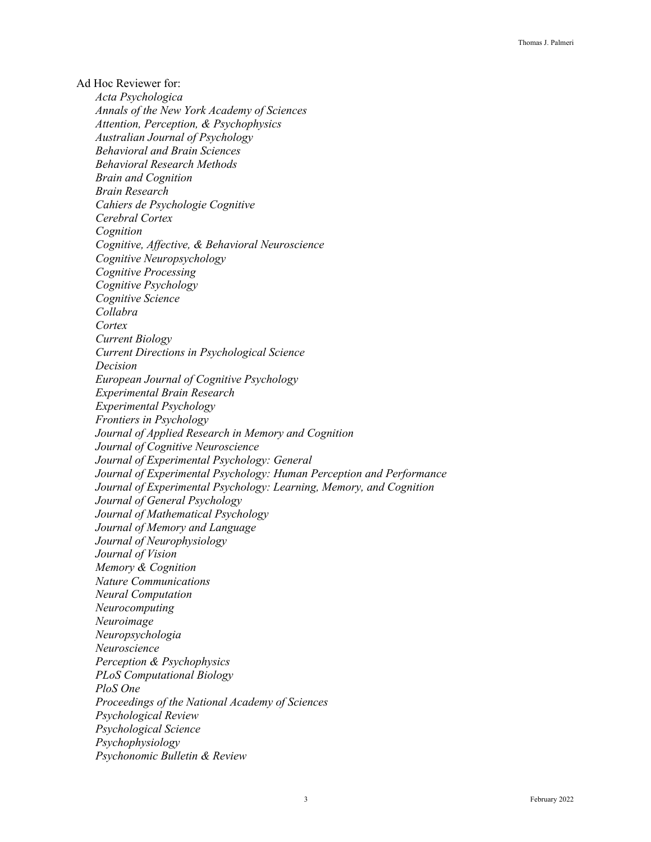Ad Hoc Reviewer for: *Acta Psychologica Annals of the New York Academy of Sciences Attention, Perception, & Psychophysics Australian Journal of Psychology Behavioral and Brain Sciences Behavioral Research Methods Brain and Cognition Brain Research Cahiers de Psychologie Cognitive Cerebral Cortex Cognition Cognitive, Affective, & Behavioral Neuroscience Cognitive Neuropsychology Cognitive Processing Cognitive Psychology Cognitive Science Collabra Cortex Current Biology Current Directions in Psychological Science Decision European Journal of Cognitive Psychology Experimental Brain Research Experimental Psychology Frontiers in Psychology Journal of Applied Research in Memory and Cognition Journal of Cognitive Neuroscience Journal of Experimental Psychology: General Journal of Experimental Psychology: Human Perception and Performance Journal of Experimental Psychology: Learning, Memory, and Cognition Journal of General Psychology Journal of Mathematical Psychology Journal of Memory and Language Journal of Neurophysiology Journal of Vision Memory & Cognition Nature Communications Neural Computation Neurocomputing Neuroimage Neuropsychologia Neuroscience Perception & Psychophysics PLoS Computational Biology PloS One Proceedings of the National Academy of Sciences Psychological Review Psychological Science Psychophysiology Psychonomic Bulletin & Review*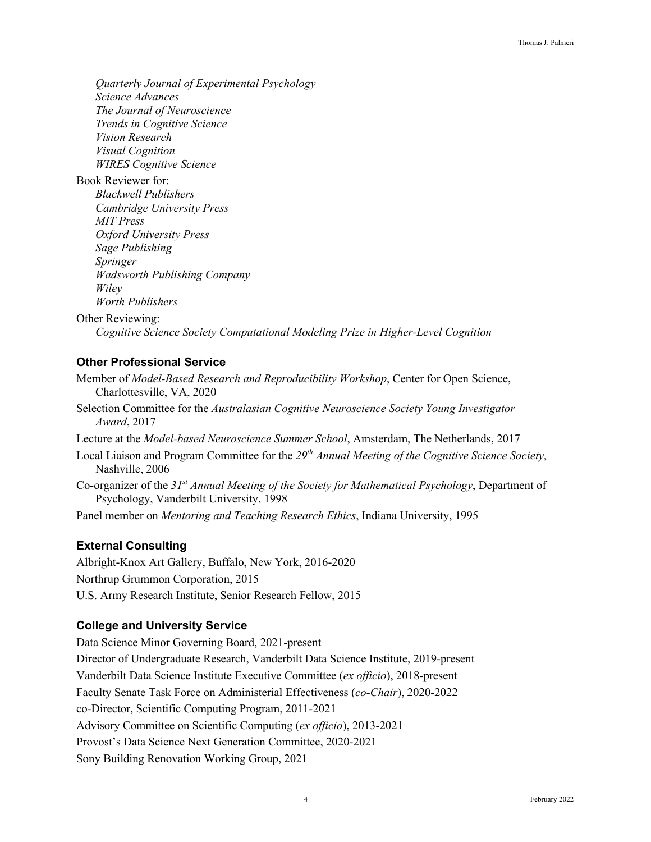*Quarterly Journal of Experimental Psychology Science Advances The Journal of Neuroscience Trends in Cognitive Science Vision Research Visual Cognition WIRES Cognitive Science*

Book Reviewer for: *Blackwell Publishers Cambridge University Press MIT Press Oxford University Press Sage Publishing Springer Wadsworth Publishing Company Wiley Worth Publishers*

Other Reviewing:

*Cognitive Science Society Computational Modeling Prize in Higher-Level Cognition*

# **Other Professional Service**

- Member of *Model-Based Research and Reproducibility Workshop*, Center for Open Science, Charlottesville, VA, 2020
- Selection Committee for the *Australasian Cognitive Neuroscience Society Young Investigator Award*, 2017
- Lecture at the *Model-based Neuroscience Summer School*, Amsterdam, The Netherlands, 2017
- Local Liaison and Program Committee for the *29th Annual Meeting of the Cognitive Science Society*, Nashville, 2006
- Co-organizer of the *31st Annual Meeting of the Society for Mathematical Psychology*, Department of Psychology, Vanderbilt University, 1998
- Panel member on *Mentoring and Teaching Research Ethics*, Indiana University, 1995

### **External Consulting**

Albright-Knox Art Gallery, Buffalo, New York, 2016-2020 Northrup Grummon Corporation, 2015 U.S. Army Research Institute, Senior Research Fellow, 2015

# **College and University Service**

Data Science Minor Governing Board, 2021-present Director of Undergraduate Research, Vanderbilt Data Science Institute, 2019-present Vanderbilt Data Science Institute Executive Committee (*ex officio*), 2018-present Faculty Senate Task Force on Administerial Effectiveness (*co-Chair*), 2020-2022 co-Director, Scientific Computing Program, 2011-2021 Advisory Committee on Scientific Computing (*ex officio*), 2013-2021 Provost's Data Science Next Generation Committee, 2020-2021 Sony Building Renovation Working Group, 2021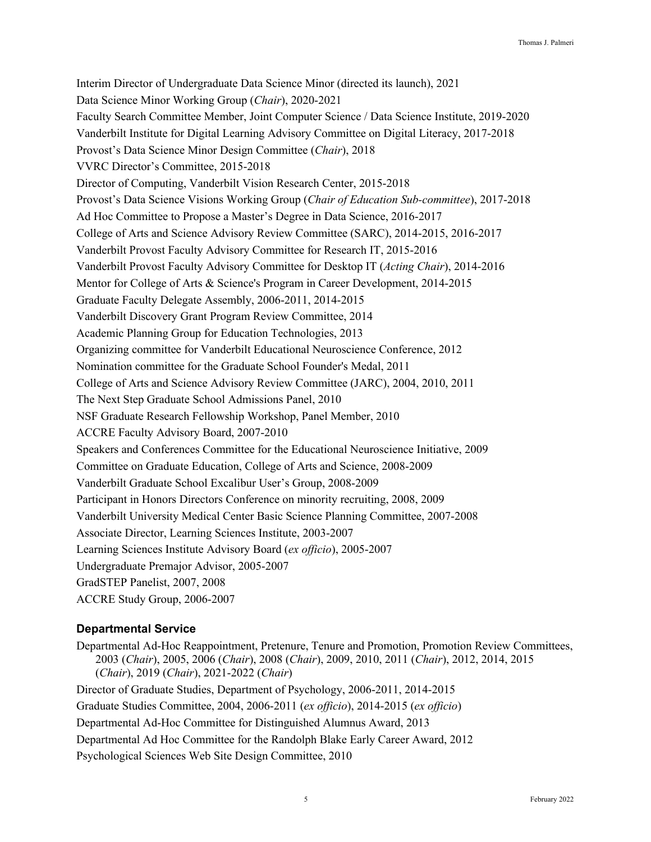Interim Director of Undergraduate Data Science Minor (directed its launch), 2021 Data Science Minor Working Group (*Chair*), 2020-2021 Faculty Search Committee Member, Joint Computer Science / Data Science Institute, 2019-2020 Vanderbilt Institute for Digital Learning Advisory Committee on Digital Literacy, 2017-2018 Provost's Data Science Minor Design Committee (*Chair*), 2018 VVRC Director's Committee, 2015-2018 Director of Computing, Vanderbilt Vision Research Center, 2015-2018 Provost's Data Science Visions Working Group (*Chair of Education Sub-committee*), 2017-2018 Ad Hoc Committee to Propose a Master's Degree in Data Science, 2016-2017 College of Arts and Science Advisory Review Committee (SARC), 2014-2015, 2016-2017 Vanderbilt Provost Faculty Advisory Committee for Research IT, 2015-2016 Vanderbilt Provost Faculty Advisory Committee for Desktop IT (*Acting Chair*), 2014-2016 Mentor for College of Arts & Science's Program in Career Development, 2014-2015 Graduate Faculty Delegate Assembly, 2006-2011, 2014-2015 Vanderbilt Discovery Grant Program Review Committee, 2014 Academic Planning Group for Education Technologies, 2013 Organizing committee for Vanderbilt Educational Neuroscience Conference, 2012 Nomination committee for the Graduate School Founder's Medal, 2011 College of Arts and Science Advisory Review Committee (JARC), 2004, 2010, 2011 The Next Step Graduate School Admissions Panel, 2010 NSF Graduate Research Fellowship Workshop, Panel Member, 2010 ACCRE Faculty Advisory Board, 2007-2010 Speakers and Conferences Committee for the Educational Neuroscience Initiative, 2009 Committee on Graduate Education, College of Arts and Science, 2008-2009 Vanderbilt Graduate School Excalibur User's Group, 2008-2009 Participant in Honors Directors Conference on minority recruiting, 2008, 2009 Vanderbilt University Medical Center Basic Science Planning Committee, 2007-2008 Associate Director, Learning Sciences Institute, 2003-2007 Learning Sciences Institute Advisory Board (*ex officio*), 2005-2007 Undergraduate Premajor Advisor, 2005-2007 GradSTEP Panelist, 2007, 2008 ACCRE Study Group, 2006-2007

# **Departmental Service**

Departmental Ad-Hoc Reappointment, Pretenure, Tenure and Promotion, Promotion Review Committees, 2003 (*Chair*), 2005, 2006 (*Chair*), 2008 (*Chair*), 2009, 2010, 2011 (*Chair*), 2012, 2014, 2015 (*Chair*), 2019 (*Chair*), 2021-2022 (*Chair*) Director of Graduate Studies, Department of Psychology, 2006-2011, 2014-2015

Graduate Studies Committee, 2004, 2006-2011 (*ex officio*), 2014-2015 (*ex officio*)

Departmental Ad-Hoc Committee for Distinguished Alumnus Award, 2013

Departmental Ad Hoc Committee for the Randolph Blake Early Career Award, 2012

Psychological Sciences Web Site Design Committee, 2010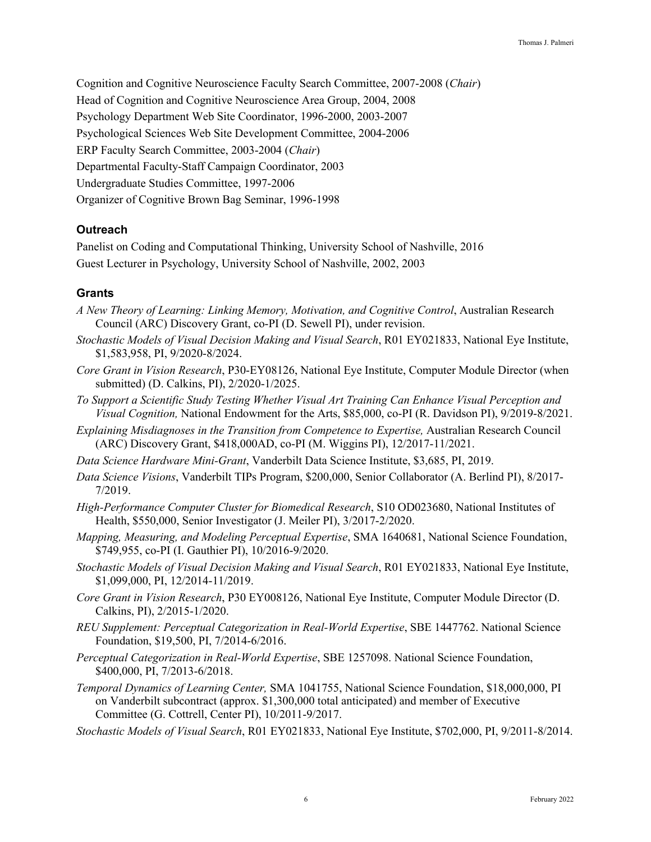Cognition and Cognitive Neuroscience Faculty Search Committee, 2007-2008 (*Chair*) Head of Cognition and Cognitive Neuroscience Area Group, 2004, 2008 Psychology Department Web Site Coordinator, 1996-2000, 2003-2007 Psychological Sciences Web Site Development Committee, 2004-2006 ERP Faculty Search Committee, 2003-2004 (*Chair*) Departmental Faculty-Staff Campaign Coordinator, 2003 Undergraduate Studies Committee, 1997-2006 Organizer of Cognitive Brown Bag Seminar, 1996-1998

### **Outreach**

Panelist on Coding and Computational Thinking, University School of Nashville, 2016 Guest Lecturer in Psychology, University School of Nashville, 2002, 2003

### **Grants**

- *A New Theory of Learning: Linking Memory, Motivation, and Cognitive Control*, Australian Research Council (ARC) Discovery Grant, co-PI (D. Sewell PI), under revision.
- *Stochastic Models of Visual Decision Making and Visual Search*, R01 EY021833, National Eye Institute, \$1,583,958, PI, 9/2020-8/2024.
- *Core Grant in Vision Research*, P30-EY08126, National Eye Institute, Computer Module Director (when submitted) (D. Calkins, PI), 2/2020-1/2025.
- *To Support a Scientific Study Testing Whether Visual Art Training Can Enhance Visual Perception and Visual Cognition,* National Endowment for the Arts, \$85,000, co-PI (R. Davidson PI), 9/2019-8/2021.
- *Explaining Misdiagnoses in the Transition from Competence to Expertise,* Australian Research Council (ARC) Discovery Grant, \$418,000AD, co-PI (M. Wiggins PI), 12/2017-11/2021.
- *Data Science Hardware Mini-Grant*, Vanderbilt Data Science Institute, \$3,685, PI, 2019.
- *Data Science Visions*, Vanderbilt TIPs Program, \$200,000, Senior Collaborator (A. Berlind PI), 8/2017- 7/2019.
- *High-Performance Computer Cluster for Biomedical Research*, S10 OD023680, National Institutes of Health, \$550,000, Senior Investigator (J. Meiler PI), 3/2017-2/2020.
- *Mapping, Measuring, and Modeling Perceptual Expertise*, SMA 1640681, National Science Foundation, \$749,955, co-PI (I. Gauthier PI), 10/2016-9/2020.
- *Stochastic Models of Visual Decision Making and Visual Search*, R01 EY021833, National Eye Institute, \$1,099,000, PI, 12/2014-11/2019.
- *Core Grant in Vision Research*, P30 EY008126, National Eye Institute, Computer Module Director (D. Calkins, PI), 2/2015-1/2020.
- *REU Supplement: Perceptual Categorization in Real-World Expertise*, SBE 1447762. National Science Foundation, \$19,500, PI, 7/2014-6/2016.
- *Perceptual Categorization in Real-World Expertise*, SBE 1257098. National Science Foundation, \$400,000, PI, 7/2013-6/2018.
- *Temporal Dynamics of Learning Center,* SMA 1041755, National Science Foundation, \$18,000,000, PI on Vanderbilt subcontract (approx. \$1,300,000 total anticipated) and member of Executive Committee (G. Cottrell, Center PI), 10/2011-9/2017.
- *Stochastic Models of Visual Search*, R01 EY021833, National Eye Institute, \$702,000, PI, 9/2011-8/2014.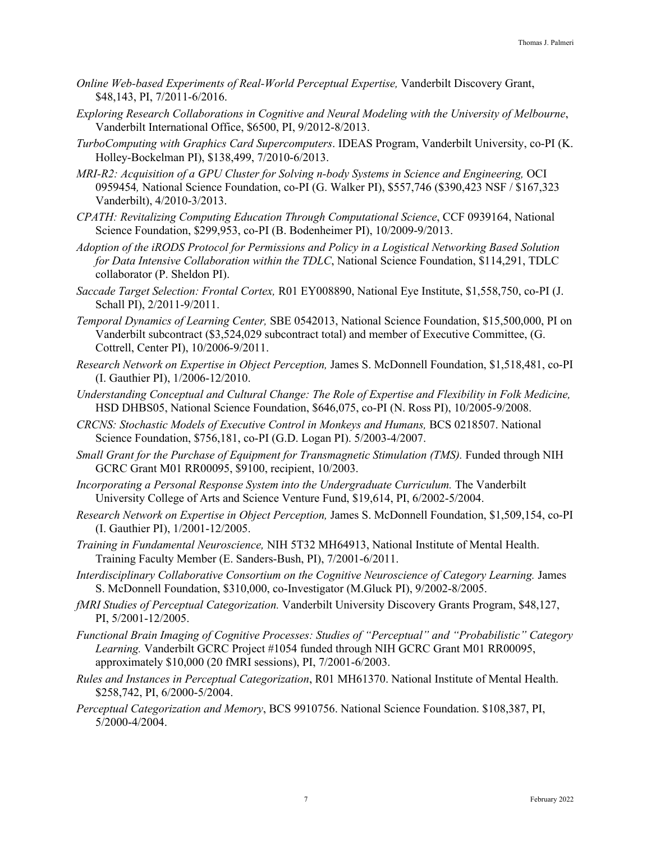- *Online Web-based Experiments of Real-World Perceptual Expertise,* Vanderbilt Discovery Grant, \$48,143, PI, 7/2011-6/2016.
- *Exploring Research Collaborations in Cognitive and Neural Modeling with the University of Melbourne*, Vanderbilt International Office, \$6500, PI, 9/2012-8/2013.
- *TurboComputing with Graphics Card Supercomputers*. IDEAS Program, Vanderbilt University, co-PI (K. Holley-Bockelman PI), \$138,499, 7/2010-6/2013.
- *MRI-R2: Acquisition of a GPU Cluster for Solving n-body Systems in Science and Engineering,* OCI 0959454*,* National Science Foundation, co-PI (G. Walker PI), \$557,746 (\$390,423 NSF / \$167,323 Vanderbilt), 4/2010-3/2013.
- *CPATH: Revitalizing Computing Education Through Computational Science*, CCF 0939164, National Science Foundation, \$299,953, co-PI (B. Bodenheimer PI), 10/2009-9/2013.
- *Adoption of the iRODS Protocol for Permissions and Policy in a Logistical Networking Based Solution for Data Intensive Collaboration within the TDLC*, National Science Foundation, \$114,291, TDLC collaborator (P. Sheldon PI).
- *Saccade Target Selection: Frontal Cortex,* R01 EY008890, National Eye Institute, \$1,558,750, co-PI (J. Schall PI), 2/2011-9/2011.
- *Temporal Dynamics of Learning Center,* SBE 0542013, National Science Foundation, \$15,500,000, PI on Vanderbilt subcontract (\$3,524,029 subcontract total) and member of Executive Committee, (G. Cottrell, Center PI), 10/2006-9/2011.
- *Research Network on Expertise in Object Perception,* James S. McDonnell Foundation, \$1,518,481, co-PI (I. Gauthier PI), 1/2006-12/2010.
- *Understanding Conceptual and Cultural Change: The Role of Expertise and Flexibility in Folk Medicine,*  HSD DHBS05, National Science Foundation, \$646,075, co-PI (N. Ross PI), 10/2005-9/2008.
- *CRCNS: Stochastic Models of Executive Control in Monkeys and Humans,* BCS 0218507. National Science Foundation, \$756,181, co-PI (G.D. Logan PI). 5/2003-4/2007.
- *Small Grant for the Purchase of Equipment for Transmagnetic Stimulation (TMS).* Funded through NIH GCRC Grant M01 RR00095, \$9100, recipient, 10/2003.
- *Incorporating a Personal Response System into the Undergraduate Curriculum.* The Vanderbilt University College of Arts and Science Venture Fund, \$19,614, PI, 6/2002-5/2004.
- *Research Network on Expertise in Object Perception,* James S. McDonnell Foundation, \$1,509,154, co-PI (I. Gauthier PI), 1/2001-12/2005.
- *Training in Fundamental Neuroscience,* NIH 5T32 MH64913, National Institute of Mental Health. Training Faculty Member (E. Sanders-Bush, PI), 7/2001-6/2011.
- *Interdisciplinary Collaborative Consortium on the Cognitive Neuroscience of Category Learning.* James S. McDonnell Foundation, \$310,000, co-Investigator (M.Gluck PI), 9/2002-8/2005.
- *fMRI Studies of Perceptual Categorization.* Vanderbilt University Discovery Grants Program, \$48,127, PI, 5/2001-12/2005.
- *Functional Brain Imaging of Cognitive Processes: Studies of "Perceptual" and "Probabilistic" Category Learning.* Vanderbilt GCRC Project #1054 funded through NIH GCRC Grant M01 RR00095, approximately \$10,000 (20 fMRI sessions), PI, 7/2001-6/2003.
- *Rules and Instances in Perceptual Categorization*, R01 MH61370. National Institute of Mental Health. \$258,742, PI, 6/2000-5/2004.
- *Perceptual Categorization and Memory*, BCS 9910756. National Science Foundation. \$108,387, PI, 5/2000-4/2004.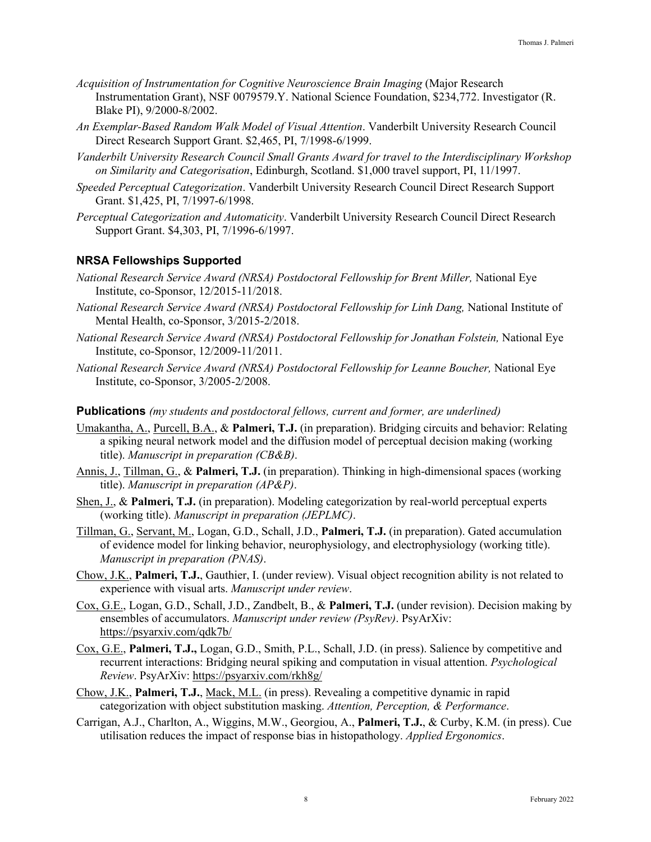- *Acquisition of Instrumentation for Cognitive Neuroscience Brain Imaging* (Major Research Instrumentation Grant), NSF 0079579.Y. National Science Foundation, \$234,772. Investigator (R. Blake PI), 9/2000-8/2002.
- *An Exemplar-Based Random Walk Model of Visual Attention*. Vanderbilt University Research Council Direct Research Support Grant. \$2,465, PI, 7/1998-6/1999.
- *Vanderbilt University Research Council Small Grants Award for travel to the Interdisciplinary Workshop on Similarity and Categorisation*, Edinburgh, Scotland. \$1,000 travel support, PI, 11/1997.
- *Speeded Perceptual Categorization*. Vanderbilt University Research Council Direct Research Support Grant. \$1,425, PI, 7/1997-6/1998.
- *Perceptual Categorization and Automaticity*. Vanderbilt University Research Council Direct Research Support Grant. \$4,303, PI, 7/1996-6/1997.

### **NRSA Fellowships Supported**

- *National Research Service Award (NRSA) Postdoctoral Fellowship for Brent Miller,* National Eye Institute, co-Sponsor, 12/2015-11/2018.
- *National Research Service Award (NRSA) Postdoctoral Fellowship for Linh Dang,* National Institute of Mental Health, co-Sponsor, 3/2015-2/2018.
- *National Research Service Award (NRSA) Postdoctoral Fellowship for Jonathan Folstein,* National Eye Institute, co-Sponsor, 12/2009-11/2011.
- *National Research Service Award (NRSA) Postdoctoral Fellowship for Leanne Boucher,* National Eye Institute, co-Sponsor, 3/2005-2/2008.

#### **Publications** *(my students and postdoctoral fellows, current and former, are underlined)*

- Umakantha, A., Purcell, B.A., & **Palmeri, T.J.** (in preparation). Bridging circuits and behavior: Relating a spiking neural network model and the diffusion model of perceptual decision making (working title). *Manuscript in preparation (CB&B)*.
- Annis, J., Tillman, G., & **Palmeri, T.J.** (in preparation). Thinking in high-dimensional spaces (working title). *Manuscript in preparation (AP&P)*.
- Shen, J., & **Palmeri, T.J.** (in preparation). Modeling categorization by real-world perceptual experts (working title). *Manuscript in preparation (JEPLMC)*.
- Tillman, G., Servant, M., Logan, G.D., Schall, J.D., **Palmeri, T.J.** (in preparation). Gated accumulation of evidence model for linking behavior, neurophysiology, and electrophysiology (working title). *Manuscript in preparation (PNAS)*.
- Chow, J.K., **Palmeri, T.J.**, Gauthier, I. (under review). Visual object recognition ability is not related to experience with visual arts. *Manuscript under review*.
- Cox, G.E., Logan, G.D., Schall, J.D., Zandbelt, B., & **Palmeri, T.J.** (under revision). Decision making by ensembles of accumulators. *Manuscript under review (PsyRev)*. PsyArXiv: https://psyarxiv.com/qdk7b/
- Cox, G.E., **Palmeri, T.J.,** Logan, G.D., Smith, P.L., Schall, J.D. (in press). Salience by competitive and recurrent interactions: Bridging neural spiking and computation in visual attention. *Psychological Review*. PsyArXiv: https://psyarxiv.com/rkh8g/
- Chow, J.K., **Palmeri, T.J.**, Mack, M.L. (in press). Revealing a competitive dynamic in rapid categorization with object substitution masking. *Attention, Perception, & Performance*.
- Carrigan, A.J., Charlton, A., Wiggins, M.W., Georgiou, A., **Palmeri, T.J.**, & Curby, K.M. (in press). Cue utilisation reduces the impact of response bias in histopathology. *Applied Ergonomics*.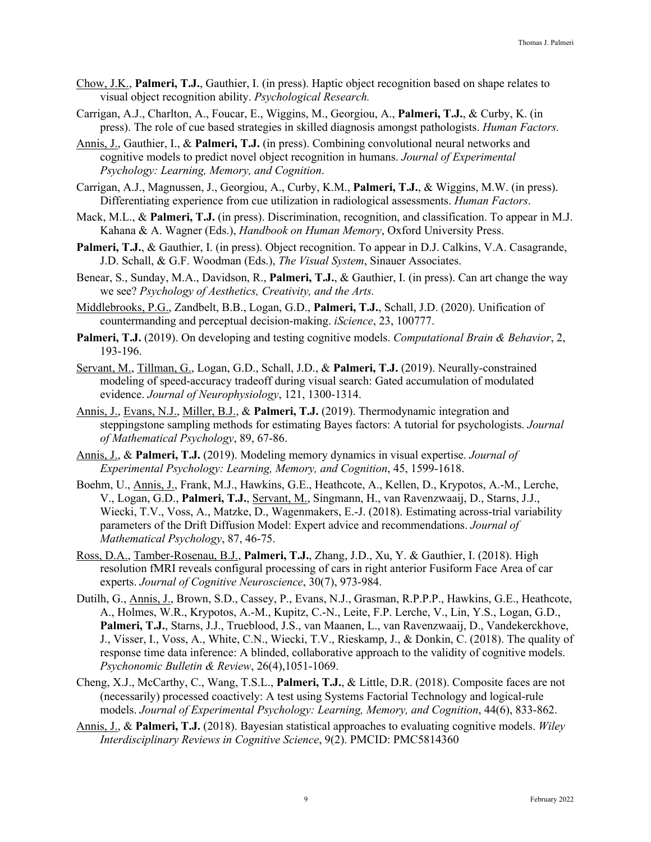- Chow, J.K., **Palmeri, T.J.**, Gauthier, I. (in press). Haptic object recognition based on shape relates to visual object recognition ability. *Psychological Research.*
- Carrigan, A.J., Charlton, A., Foucar, E., Wiggins, M., Georgiou, A., **Palmeri, T.J.**, & Curby, K. (in press). The role of cue based strategies in skilled diagnosis amongst pathologists. *Human Factors.*
- Annis, J., Gauthier, I., & **Palmeri, T.J.** (in press). Combining convolutional neural networks and cognitive models to predict novel object recognition in humans. *Journal of Experimental Psychology: Learning, Memory, and Cognition*.
- Carrigan, A.J., Magnussen, J., Georgiou, A., Curby, K.M., **Palmeri, T.J.**, & Wiggins, M.W. (in press). Differentiating experience from cue utilization in radiological assessments. *Human Factors*.
- Mack, M.L., & **Palmeri, T.J.** (in press). Discrimination, recognition, and classification. To appear in M.J. Kahana & A. Wagner (Eds.), *Handbook on Human Memory*, Oxford University Press.
- **Palmeri, T.J.**, & Gauthier, I. (in press). Object recognition. To appear in D.J. Calkins, V.A. Casagrande, J.D. Schall, & G.F. Woodman (Eds.), *The Visual System*, Sinauer Associates.
- Benear, S., Sunday, M.A., Davidson, R., **Palmeri, T.J.**, & Gauthier, I. (in press). Can art change the way we see? *Psychology of Aesthetics, Creativity, and the Arts.*
- Middlebrooks, P.G., Zandbelt, B.B., Logan, G.D., **Palmeri, T.J.**, Schall, J.D. (2020). Unification of countermanding and perceptual decision-making. *iScience*, 23, 100777.
- **Palmeri, T.J.** (2019). On developing and testing cognitive models. *Computational Brain & Behavior*, 2, 193-196.
- Servant, M., Tillman, G., Logan, G.D., Schall, J.D., & **Palmeri, T.J.** (2019). Neurally-constrained modeling of speed-accuracy tradeoff during visual search: Gated accumulation of modulated evidence. *Journal of Neurophysiology*, 121, 1300-1314.
- Annis, J., Evans, N.J., Miller, B.J., & **Palmeri, T.J.** (2019). Thermodynamic integration and steppingstone sampling methods for estimating Bayes factors: A tutorial for psychologists. *Journal of Mathematical Psychology*, 89, 67-86.
- Annis, J., & **Palmeri, T.J.** (2019). Modeling memory dynamics in visual expertise. *Journal of Experimental Psychology: Learning, Memory, and Cognition*, 45, 1599-1618.
- Boehm, U., Annis, J., Frank, M.J., Hawkins, G.E., Heathcote, A., Kellen, D., Krypotos, A.-M., Lerche, V., Logan, G.D., **Palmeri, T.J.**, Servant, M., Singmann, H., van Ravenzwaaij, D., Starns, J.J., Wiecki, T.V., Voss, A., Matzke, D., Wagenmakers, E.-J. (2018). Estimating across-trial variability parameters of the Drift Diffusion Model: Expert advice and recommendations. *Journal of Mathematical Psychology*, 87, 46-75.
- Ross, D.A., Tamber-Rosenau, B.J., **Palmeri, T.J.**, Zhang, J.D., Xu, Y. & Gauthier, I. (2018). High resolution fMRI reveals configural processing of cars in right anterior Fusiform Face Area of car experts. *Journal of Cognitive Neuroscience*, 30(7), 973-984.
- Dutilh, G., Annis, J., Brown, S.D., Cassey, P., Evans, N.J., Grasman, R.P.P.P., Hawkins, G.E., Heathcote, A., Holmes, W.R., Krypotos, A.-M., Kupitz, C.-N., Leite, F.P. Lerche, V., Lin, Y.S., Logan, G.D., **Palmeri, T.J.**, Starns, J.J., Trueblood, J.S., van Maanen, L., van Ravenzwaaij, D., Vandekerckhove, J., Visser, I., Voss, A., White, C.N., Wiecki, T.V., Rieskamp, J., & Donkin, C. (2018). The quality of response time data inference: A blinded, collaborative approach to the validity of cognitive models. *Psychonomic Bulletin & Review*, 26(4),1051-1069.
- Cheng, X.J., McCarthy, C., Wang, T.S.L., **Palmeri, T.J.**, & Little, D.R. (2018). Composite faces are not (necessarily) processed coactively: A test using Systems Factorial Technology and logical-rule models. *Journal of Experimental Psychology: Learning, Memory, and Cognition*, 44(6), 833-862.
- Annis, J., & **Palmeri, T.J.** (2018). Bayesian statistical approaches to evaluating cognitive models. *Wiley Interdisciplinary Reviews in Cognitive Science*, 9(2). PMCID: PMC5814360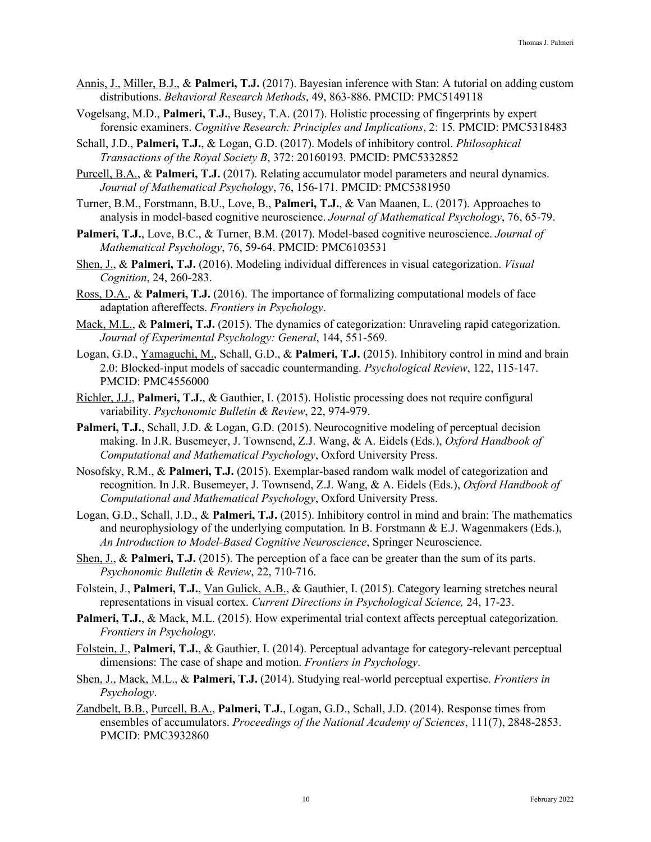- Annis, J., Miller, B.J., & **Palmeri, T.J.** (2017). Bayesian inference with Stan: A tutorial on adding custom distributions. *Behavioral Research Methods*, 49, 863-886. PMCID: PMC5149118
- Vogelsang, M.D., **Palmeri, T.J.**, Busey, T.A. (2017). Holistic processing of fingerprints by expert forensic examiners. *Cognitive Research: Principles and Implications*, 2: 15*.* PMCID: PMC5318483
- Schall, J.D., **Palmeri, T.J.**, & Logan, G.D. (2017). Models of inhibitory control. *Philosophical Transactions of the Royal Society B*, 372: 20160193*.* PMCID: PMC5332852
- Purcell, B.A., & **Palmeri, T.J.** (2017). Relating accumulator model parameters and neural dynamics. *Journal of Mathematical Psychology*, 76, 156-171*.* PMCID: PMC5381950
- Turner, B.M., Forstmann, B.U., Love, B., **Palmeri, T.J.**, & Van Maanen, L. (2017). Approaches to analysis in model-based cognitive neuroscience. *Journal of Mathematical Psychology*, 76, 65-79.
- **Palmeri, T.J.**, Love, B.C., & Turner, B.M. (2017). Model-based cognitive neuroscience. *Journal of Mathematical Psychology*, 76, 59-64. PMCID: PMC6103531
- Shen, J., & **Palmeri, T.J.** (2016). Modeling individual differences in visual categorization. *Visual Cognition*, 24, 260-283.
- Ross, D.A., & **Palmeri, T.J.** (2016). The importance of formalizing computational models of face adaptation aftereffects. *Frontiers in Psychology*.
- Mack, M.L., & **Palmeri, T.J.** (2015). The dynamics of categorization: Unraveling rapid categorization. *Journal of Experimental Psychology: General*, 144, 551-569.
- Logan, G.D., Yamaguchi, M., Schall, G.D., & **Palmeri, T.J.** (2015). Inhibitory control in mind and brain 2.0: Blocked-input models of saccadic countermanding. *Psychological Review*, 122, 115-147. PMCID: PMC4556000
- Richler, J.J., **Palmeri, T.J.**, & Gauthier, I. (2015). Holistic processing does not require configural variability. *Psychonomic Bulletin & Review*, 22, 974-979.
- **Palmeri, T.J.**, Schall, J.D. & Logan, G.D. (2015). Neurocognitive modeling of perceptual decision making. In J.R. Busemeyer, J. Townsend, Z.J. Wang, & A. Eidels (Eds.), *Oxford Handbook of Computational and Mathematical Psychology*, Oxford University Press.
- Nosofsky, R.M., & **Palmeri, T.J.** (2015). Exemplar-based random walk model of categorization and recognition. In J.R. Busemeyer, J. Townsend, Z.J. Wang, & A. Eidels (Eds.), *Oxford Handbook of Computational and Mathematical Psychology*, Oxford University Press.
- Logan, G.D., Schall, J.D., & **Palmeri, T.J.** (2015). Inhibitory control in mind and brain: The mathematics and neurophysiology of the underlying computation*.* In B. Forstmann & E.J. Wagenmakers (Eds.), *An Introduction to Model-Based Cognitive Neuroscience*, Springer Neuroscience.
- Shen, J., & **Palmeri, T.J.** (2015). The perception of a face can be greater than the sum of its parts. *Psychonomic Bulletin & Review*, 22, 710-716.
- Folstein, J., **Palmeri, T.J.**, Van Gulick, A.B., & Gauthier, I. (2015). Category learning stretches neural representations in visual cortex. *Current Directions in Psychological Science,* 24, 17-23.
- **Palmeri, T.J.**, & Mack, M.L. (2015). How experimental trial context affects perceptual categorization. *Frontiers in Psychology*.
- Folstein, J., **Palmeri, T.J.**, & Gauthier, I. (2014). Perceptual advantage for category-relevant perceptual dimensions: The case of shape and motion. *Frontiers in Psychology*.
- Shen, J., Mack, M.L., & **Palmeri, T.J.** (2014). Studying real-world perceptual expertise. *Frontiers in Psychology*.
- Zandbelt, B.B., Purcell, B.A., **Palmeri, T.J.**, Logan, G.D., Schall, J.D. (2014). Response times from ensembles of accumulators. *Proceedings of the National Academy of Sciences*, 111(7), 2848-2853. PMCID: PMC3932860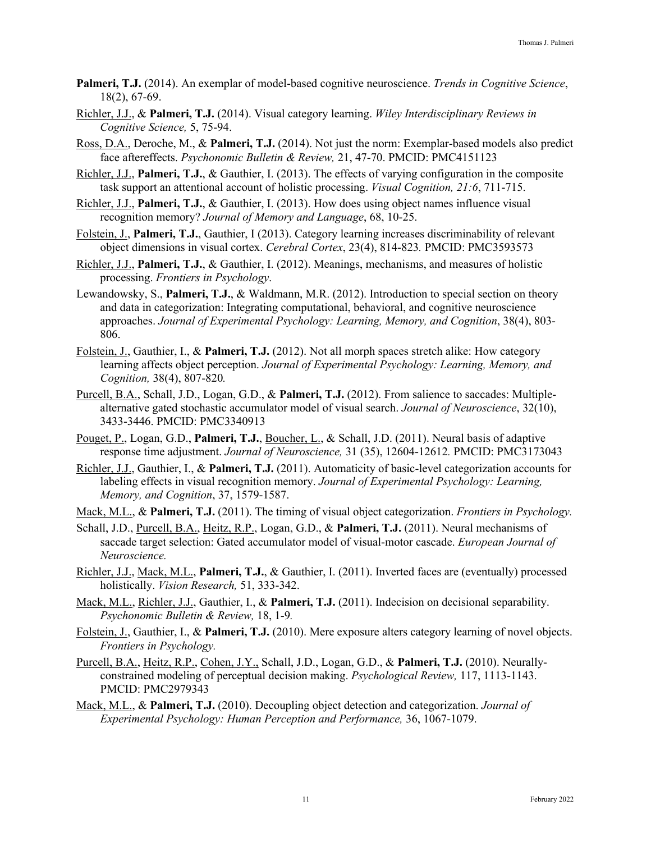- **Palmeri, T.J.** (2014). An exemplar of model-based cognitive neuroscience. *Trends in Cognitive Science*, 18(2), 67-69.
- Richler, J.J., & **Palmeri, T.J.** (2014). Visual category learning. *Wiley Interdisciplinary Reviews in Cognitive Science,* 5, 75-94.
- Ross, D.A., Deroche, M., & **Palmeri, T.J.** (2014). Not just the norm: Exemplar-based models also predict face aftereffects. *Psychonomic Bulletin & Review,* 21, 47-70. PMCID: PMC4151123
- Richler, J.J., **Palmeri, T.J.**, & Gauthier, I. (2013). The effects of varying configuration in the composite task support an attentional account of holistic processing. *Visual Cognition, 21:6*, 711-715.
- Richler, J.J., **Palmeri, T.J.**, & Gauthier, I. (2013). How does using object names influence visual recognition memory? *Journal of Memory and Language*, 68, 10-25.
- Folstein, J., **Palmeri, T.J.**, Gauthier, I (2013). Category learning increases discriminability of relevant object dimensions in visual cortex. *Cerebral Cortex*, 23(4), 814-823*.* PMCID: PMC3593573
- Richler, J.J., **Palmeri, T.J.**, & Gauthier, I. (2012). Meanings, mechanisms, and measures of holistic processing. *Frontiers in Psychology*.
- Lewandowsky, S., **Palmeri, T.J.**, & Waldmann, M.R. (2012). Introduction to special section on theory and data in categorization: Integrating computational, behavioral, and cognitive neuroscience approaches. *Journal of Experimental Psychology: Learning, Memory, and Cognition*, 38(4), 803- 806.
- Folstein, J., Gauthier, I., & **Palmeri, T.J.** (2012). Not all morph spaces stretch alike: How category learning affects object perception. *Journal of Experimental Psychology: Learning, Memory, and Cognition,* 38(4), 807-820*.*
- Purcell, B.A., Schall, J.D., Logan, G.D., & **Palmeri, T.J.** (2012). From salience to saccades: Multiplealternative gated stochastic accumulator model of visual search. *Journal of Neuroscience*, 32(10), 3433-3446. PMCID: PMC3340913
- Pouget, P., Logan, G.D., **Palmeri, T.J.**, Boucher, L., & Schall, J.D. (2011). Neural basis of adaptive response time adjustment. *Journal of Neuroscience,* 31 (35), 12604-12612*.* PMCID: PMC3173043
- Richler, J.J., Gauthier, I., & **Palmeri, T.J.** (2011). Automaticity of basic-level categorization accounts for labeling effects in visual recognition memory. *Journal of Experimental Psychology: Learning, Memory, and Cognition*, 37, 1579-1587.
- Mack, M.L., & **Palmeri, T.J.** (2011). The timing of visual object categorization. *Frontiers in Psychology.*
- Schall, J.D., Purcell, B.A., Heitz, R.P., Logan, G.D., & **Palmeri, T.J.** (2011). Neural mechanisms of saccade target selection: Gated accumulator model of visual-motor cascade. *European Journal of Neuroscience.*
- Richler, J.J., Mack, M.L., **Palmeri, T.J.**, & Gauthier, I. (2011). Inverted faces are (eventually) processed holistically. *Vision Research,* 51, 333-342.
- Mack, M.L., Richler, J.J., Gauthier, I., & **Palmeri, T.J.** (2011). Indecision on decisional separability. *Psychonomic Bulletin & Review,* 18, 1-9*.*
- Folstein, J., Gauthier, I., & **Palmeri, T.J.** (2010). Mere exposure alters category learning of novel objects. *Frontiers in Psychology.*
- Purcell, B.A., Heitz, R.P., Cohen, J.Y., Schall, J.D., Logan, G.D., & **Palmeri, T.J.** (2010). Neurallyconstrained modeling of perceptual decision making. *Psychological Review,* 117, 1113-1143. PMCID: PMC2979343
- Mack, M.L., & **Palmeri, T.J.** (2010). Decoupling object detection and categorization. *Journal of Experimental Psychology: Human Perception and Performance,* 36, 1067-1079.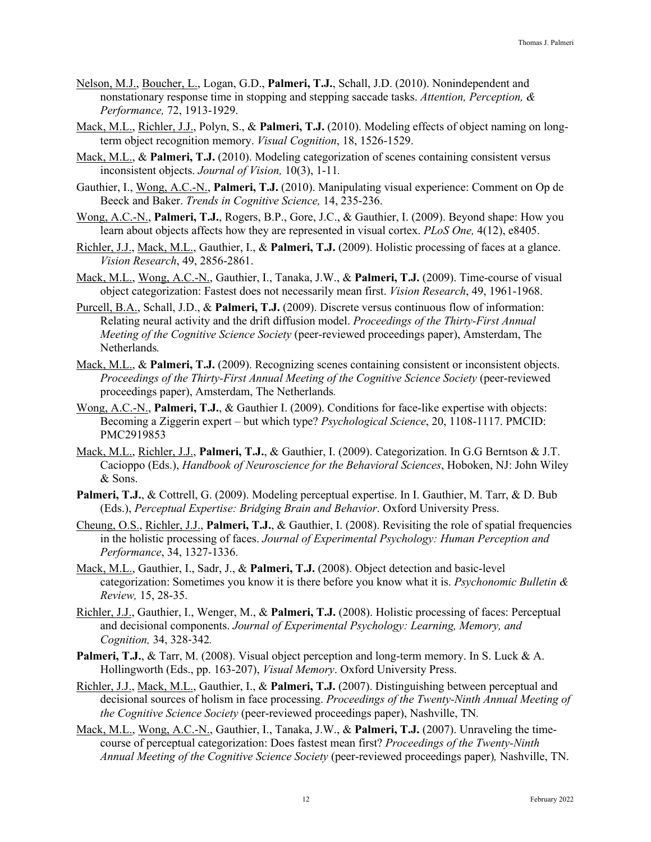- Nelson, M.J., Boucher, L., Logan, G.D., **Palmeri, T.J.**, Schall, J.D. (2010). Nonindependent and nonstationary response time in stopping and stepping saccade tasks. *Attention, Perception, & Performance,* 72, 1913-1929.
- Mack, M.L., Richler, J.J., Polyn, S., & **Palmeri, T.J.** (2010). Modeling effects of object naming on longterm object recognition memory. *Visual Cognition*, 18, 1526-1529.
- Mack, M.L., & **Palmeri, T.J.** (2010). Modeling categorization of scenes containing consistent versus inconsistent objects. *Journal of Vision,* 10(3), 1-11*.*
- Gauthier, I., Wong, A.C.-N., **Palmeri, T.J.** (2010). Manipulating visual experience: Comment on Op de Beeck and Baker. *Trends in Cognitive Science,* 14, 235-236.
- Wong, A.C.-N., **Palmeri, T.J.**, Rogers, B.P., Gore, J.C., & Gauthier, I. (2009). Beyond shape: How you learn about objects affects how they are represented in visual cortex. *PLoS One,* 4(12), e8405.
- Richler, J.J., Mack, M.L., Gauthier, I., & **Palmeri, T.J.** (2009). Holistic processing of faces at a glance. *Vision Research*, 49, 2856-2861.
- Mack, M.L., Wong, A.C.-N., Gauthier, I., Tanaka, J.W., & **Palmeri, T.J.** (2009). Time-course of visual object categorization: Fastest does not necessarily mean first. *Vision Research*, 49, 1961-1968.
- Purcell, B.A., Schall, J.D., & **Palmeri, T.J.** (2009). Discrete versus continuous flow of information: Relating neural activity and the drift diffusion model. *Proceedings of the Thirty-First Annual Meeting of the Cognitive Science Society* (peer-reviewed proceedings paper), Amsterdam, The Netherlands*.*
- Mack, M.L., & **Palmeri, T.J.** (2009). Recognizing scenes containing consistent or inconsistent objects. *Proceedings of the Thirty-First Annual Meeting of the Cognitive Science Society* (peer-reviewed proceedings paper), Amsterdam, The Netherlands*.*
- Wong, A.C.-N., **Palmeri, T.J.**, & Gauthier I. (2009). Conditions for face-like expertise with objects: Becoming a Ziggerin expert – but which type? *Psychological Science*, 20, 1108-1117. PMCID: PMC2919853
- Mack, M.L., Richler, J.J., **Palmeri, T.J.**, & Gauthier, I. (2009). Categorization. In G.G Berntson & J.T. Cacioppo (Eds.), *Handbook of Neuroscience for the Behavioral Sciences*, Hoboken, NJ: John Wiley & Sons.
- **Palmeri, T.J.**, & Cottrell, G. (2009). Modeling perceptual expertise. In I. Gauthier, M. Tarr, & D. Bub (Eds.), *Perceptual Expertise: Bridging Brain and Behavior*. Oxford University Press.
- Cheung, O.S., Richler, J.J., **Palmeri, T.J.**, & Gauthier, I. (2008). Revisiting the role of spatial frequencies in the holistic processing of faces. *Journal of Experimental Psychology: Human Perception and Performance*, 34, 1327-1336.
- Mack, M.L., Gauthier, I., Sadr, J., & **Palmeri, T.J.** (2008). Object detection and basic-level categorization: Sometimes you know it is there before you know what it is. *Psychonomic Bulletin & Review,* 15, 28-35.
- Richler, J.J., Gauthier, I., Wenger, M., & **Palmeri, T.J.** (2008). Holistic processing of faces: Perceptual and decisional components. *Journal of Experimental Psychology: Learning, Memory, and Cognition,* 34, 328-342*.*
- **Palmeri, T.J.**, & Tarr, M. (2008). Visual object perception and long-term memory. In S. Luck & A. Hollingworth (Eds., pp. 163-207), *Visual Memory*. Oxford University Press.
- Richler, J.J., Mack, M.L., Gauthier, I., & **Palmeri, T.J.** (2007). Distinguishing between perceptual and decisional sources of holism in face processing. *Proceedings of the Twenty-Ninth Annual Meeting of the Cognitive Science Society* (peer-reviewed proceedings paper), Nashville, TN*.*
- Mack, M.L., Wong, A.C.-N., Gauthier, I., Tanaka, J.W., & **Palmeri, T.J.** (2007). Unraveling the timecourse of perceptual categorization: Does fastest mean first? *Proceedings of the Twenty-Ninth Annual Meeting of the Cognitive Science Society* (peer-reviewed proceedings paper)*,* Nashville, TN.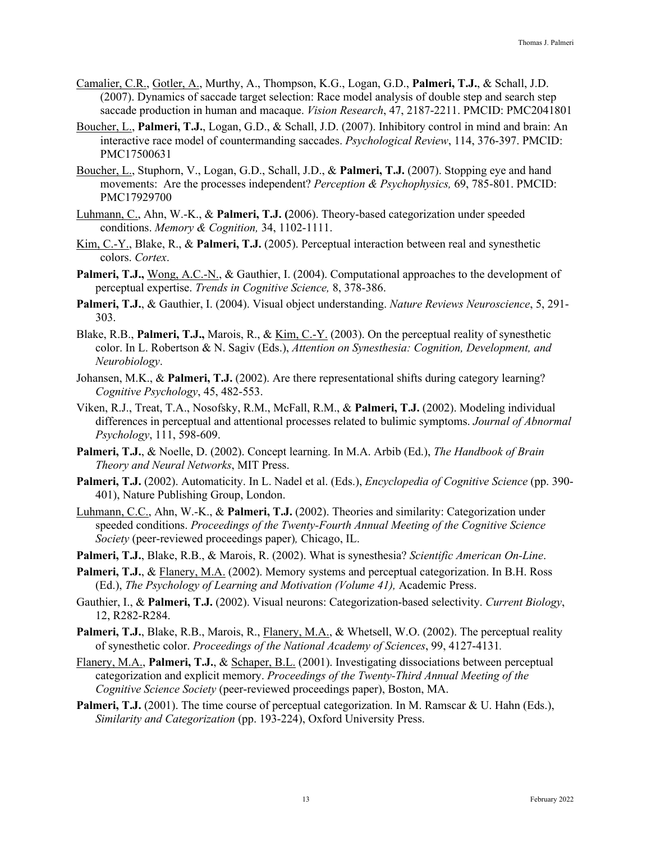- Camalier, C.R., Gotler, A., Murthy, A., Thompson, K.G., Logan, G.D., **Palmeri, T.J.**, & Schall, J.D. (2007). Dynamics of saccade target selection: Race model analysis of double step and search step saccade production in human and macaque. *Vision Research*, 47, 2187-2211. PMCID: PMC2041801
- Boucher, L., **Palmeri, T.J.**, Logan, G.D., & Schall, J.D. (2007). Inhibitory control in mind and brain: An interactive race model of countermanding saccades. *Psychological Review*, 114, 376-397. PMCID: PMC17500631
- Boucher, L., Stuphorn, V., Logan, G.D., Schall, J.D., & **Palmeri, T.J.** (2007). Stopping eye and hand movements: Are the processes independent? *Perception & Psychophysics,* 69, 785-801. PMCID: PMC17929700
- Luhmann, C., Ahn, W.-K., & **Palmeri, T.J. (**2006). Theory-based categorization under speeded conditions. *Memory & Cognition,* 34, 1102-1111.
- Kim, C.-Y., Blake, R., & **Palmeri, T.J.** (2005). Perceptual interaction between real and synesthetic colors. *Cortex*.
- **Palmeri, T.J.,** Wong, A.C.-N., & Gauthier, I. (2004). Computational approaches to the development of perceptual expertise. *Trends in Cognitive Science,* 8, 378-386.
- **Palmeri, T.J.**, & Gauthier, I. (2004). Visual object understanding. *Nature Reviews Neuroscience*, 5, 291- 303.
- Blake, R.B., **Palmeri, T.J.,** Marois, R., & Kim, C.-Y. (2003). On the perceptual reality of synesthetic color. In L. Robertson & N. Sagiv (Eds.), *Attention on Synesthesia: Cognition, Development, and Neurobiology*.
- Johansen, M.K., & **Palmeri, T.J.** (2002). Are there representational shifts during category learning? *Cognitive Psychology*, 45, 482-553.
- Viken, R.J., Treat, T.A., Nosofsky, R.M., McFall, R.M., & **Palmeri, T.J.** (2002). Modeling individual differences in perceptual and attentional processes related to bulimic symptoms. *Journal of Abnormal Psychology*, 111, 598-609.
- **Palmeri, T.J.**, & Noelle, D. (2002). Concept learning. In M.A. Arbib (Ed.), *The Handbook of Brain Theory and Neural Networks*, MIT Press.
- **Palmeri, T.J.** (2002). Automaticity. In L. Nadel et al. (Eds.), *Encyclopedia of Cognitive Science* (pp. 390- 401), Nature Publishing Group, London.
- Luhmann, C.C., Ahn, W.-K., & **Palmeri, T.J.** (2002). Theories and similarity: Categorization under speeded conditions. *Proceedings of the Twenty-Fourth Annual Meeting of the Cognitive Science Society* (peer-reviewed proceedings paper)*,* Chicago, IL.
- **Palmeri, T.J.**, Blake, R.B., & Marois, R. (2002). What is synesthesia? *Scientific American On-Line*.
- **Palmeri, T.J.**, & Flanery, M.A. (2002). Memory systems and perceptual categorization. In B.H. Ross (Ed.), *The Psychology of Learning and Motivation (Volume 41),* Academic Press.
- Gauthier, I., & **Palmeri, T.J.** (2002). Visual neurons: Categorization-based selectivity. *Current Biology*, 12, R282-R284.
- **Palmeri, T.J.**, Blake, R.B., Marois, R., Flanery, M.A., & Whetsell, W.O. (2002). The perceptual reality of synesthetic color. *Proceedings of the National Academy of Sciences*, 99, 4127-4131*.*
- Flanery, M.A., **Palmeri, T.J.**, & Schaper, B.L. (2001). Investigating dissociations between perceptual categorization and explicit memory. *Proceedings of the Twenty-Third Annual Meeting of the Cognitive Science Society* (peer-reviewed proceedings paper), Boston, MA.
- **Palmeri, T.J.** (2001). The time course of perceptual categorization. In M. Ramscar & U. Hahn (Eds.), *Similarity and Categorization* (pp. 193-224), Oxford University Press.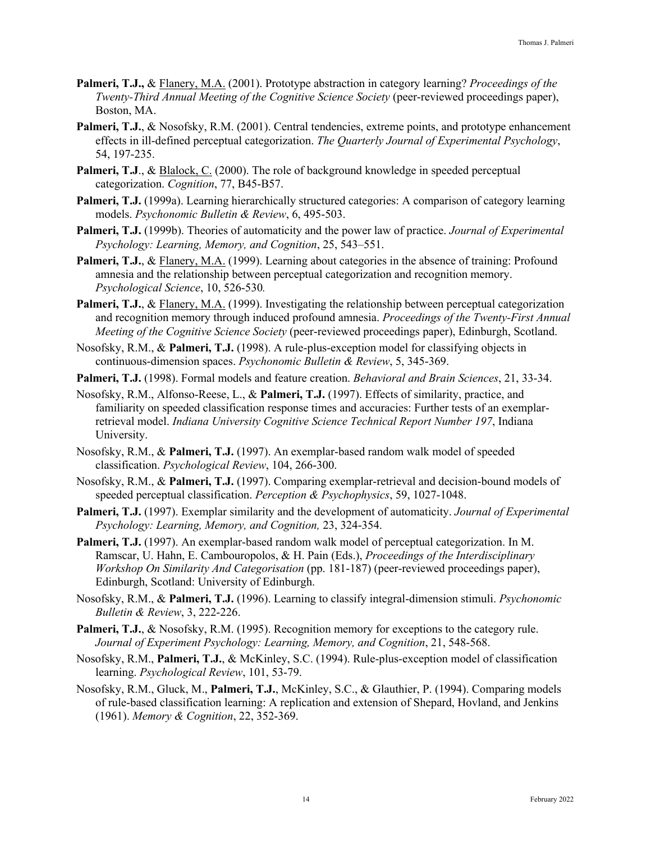- **Palmeri, T.J.,** & Flanery, M.A. (2001). Prototype abstraction in category learning? *Proceedings of the Twenty-Third Annual Meeting of the Cognitive Science Society* (peer-reviewed proceedings paper), Boston, MA.
- **Palmeri, T.J.**, & Nosofsky, R.M. (2001). Central tendencies, extreme points, and prototype enhancement effects in ill-defined perceptual categorization. *The Quarterly Journal of Experimental Psychology*, 54, 197-235.
- Palmeri, T.J., & **Blalock, C.** (2000). The role of background knowledge in speeded perceptual categorization. *Cognition*, 77, B45-B57.
- **Palmeri, T.J.** (1999a). Learning hierarchically structured categories: A comparison of category learning models. *Psychonomic Bulletin & Review*, 6, 495-503.
- **Palmeri, T.J.** (1999b). Theories of automaticity and the power law of practice. *Journal of Experimental Psychology: Learning, Memory, and Cognition*, 25, 543–551.
- **Palmeri, T.J.**, & Flanery, M.A. (1999). Learning about categories in the absence of training: Profound amnesia and the relationship between perceptual categorization and recognition memory. *Psychological Science*, 10, 526-530*.*
- **Palmeri, T.J.**, & Flanery, M.A. (1999). Investigating the relationship between perceptual categorization and recognition memory through induced profound amnesia. *Proceedings of the Twenty-First Annual Meeting of the Cognitive Science Society* (peer-reviewed proceedings paper), Edinburgh, Scotland.
- Nosofsky, R.M., & **Palmeri, T.J.** (1998). A rule-plus-exception model for classifying objects in continuous-dimension spaces. *Psychonomic Bulletin & Review*, 5, 345-369.
- **Palmeri, T.J.** (1998). Formal models and feature creation. *Behavioral and Brain Sciences*, 21, 33-34.
- Nosofsky, R.M., Alfonso-Reese, L., & **Palmeri, T.J.** (1997). Effects of similarity, practice, and familiarity on speeded classification response times and accuracies: Further tests of an exemplarretrieval model. *Indiana University Cognitive Science Technical Report Number 197*, Indiana University.
- Nosofsky, R.M., & **Palmeri, T.J.** (1997). An exemplar-based random walk model of speeded classification. *Psychological Review*, 104, 266-300.
- Nosofsky, R.M., & **Palmeri, T.J.** (1997). Comparing exemplar-retrieval and decision-bound models of speeded perceptual classification. *Perception & Psychophysics*, 59, 1027-1048.
- **Palmeri, T.J.** (1997). Exemplar similarity and the development of automaticity. *Journal of Experimental Psychology: Learning, Memory, and Cognition,* 23, 324-354.
- **Palmeri, T.J.** (1997). An exemplar-based random walk model of perceptual categorization. In M. Ramscar, U. Hahn, E. Cambouropolos, & H. Pain (Eds.), *Proceedings of the Interdisciplinary Workshop On Similarity And Categorisation* (pp. 181-187) (peer-reviewed proceedings paper), Edinburgh, Scotland: University of Edinburgh.
- Nosofsky, R.M., & **Palmeri, T.J.** (1996). Learning to classify integral-dimension stimuli. *Psychonomic Bulletin & Review*, 3, 222-226.
- **Palmeri, T.J., & Nosofsky, R.M. (1995). Recognition memory for exceptions to the category rule.** *Journal of Experiment Psychology: Learning, Memory, and Cognition*, 21, 548-568.
- Nosofsky, R.M., **Palmeri, T.J.**, & McKinley, S.C. (1994). Rule-plus-exception model of classification learning. *Psychological Review*, 101, 53-79.
- Nosofsky, R.M., Gluck, M., **Palmeri, T.J.**, McKinley, S.C., & Glauthier, P. (1994). Comparing models of rule-based classification learning: A replication and extension of Shepard, Hovland, and Jenkins (1961). *Memory & Cognition*, 22, 352-369.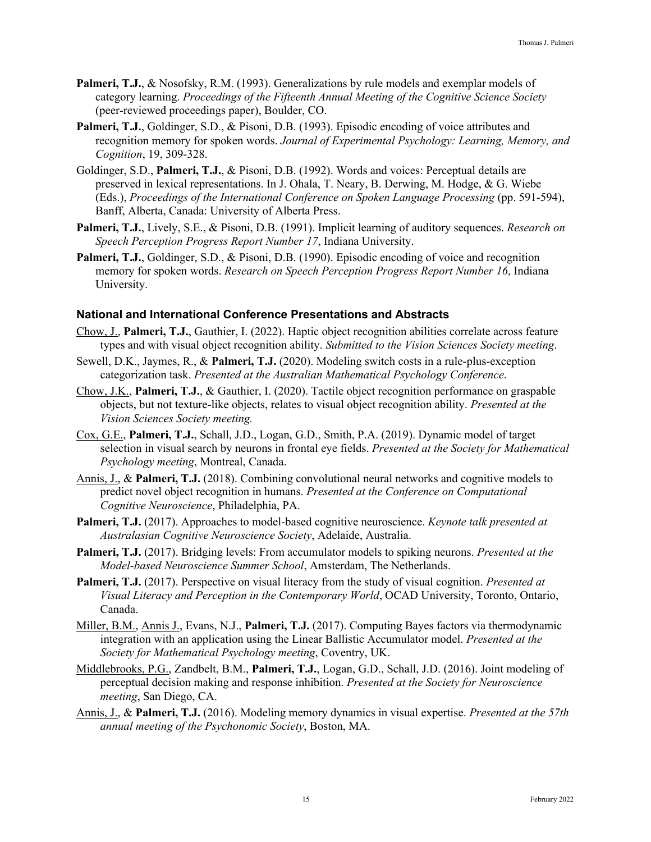- **Palmeri, T.J.**, & Nosofsky, R.M. (1993). Generalizations by rule models and exemplar models of category learning. *Proceedings of the Fifteenth Annual Meeting of the Cognitive Science Society*  (peer-reviewed proceedings paper), Boulder, CO.
- **Palmeri, T.J.**, Goldinger, S.D., & Pisoni, D.B. (1993). Episodic encoding of voice attributes and recognition memory for spoken words. *Journal of Experimental Psychology: Learning, Memory, and Cognition*, 19, 309-328.
- Goldinger, S.D., **Palmeri, T.J.**, & Pisoni, D.B. (1992). Words and voices: Perceptual details are preserved in lexical representations. In J. Ohala, T. Neary, B. Derwing, M. Hodge, & G. Wiebe (Eds.), *Proceedings of the International Conference on Spoken Language Processing* (pp. 591-594), Banff, Alberta, Canada: University of Alberta Press.
- **Palmeri, T.J.**, Lively, S.E., & Pisoni, D.B. (1991). Implicit learning of auditory sequences. *Research on Speech Perception Progress Report Number 17*, Indiana University.
- **Palmeri, T.J.**, Goldinger, S.D., & Pisoni, D.B. (1990). Episodic encoding of voice and recognition memory for spoken words. *Research on Speech Perception Progress Report Number 16*, Indiana University.

### **National and International Conference Presentations and Abstracts**

- Chow, J., **Palmeri, T.J.**, Gauthier, I. (2022). Haptic object recognition abilities correlate across feature types and with visual object recognition ability. *Submitted to the Vision Sciences Society meeting*.
- Sewell, D.K., Jaymes, R., & **Palmeri, T.J.** (2020). Modeling switch costs in a rule-plus-exception categorization task. *Presented at the Australian Mathematical Psychology Conference*.
- Chow, J.K., **Palmeri, T.J.**, & Gauthier, I. (2020). Tactile object recognition performance on graspable objects, but not texture-like objects, relates to visual object recognition ability. *Presented at the Vision Sciences Society meeting.*
- Cox, G.E., **Palmeri, T.J.**, Schall, J.D., Logan, G.D., Smith, P.A. (2019). Dynamic model of target selection in visual search by neurons in frontal eye fields. *Presented at the Society for Mathematical Psychology meeting*, Montreal, Canada.
- Annis, J., & **Palmeri, T.J.** (2018). Combining convolutional neural networks and cognitive models to predict novel object recognition in humans. *Presented at the Conference on Computational Cognitive Neuroscience*, Philadelphia, PA.
- **Palmeri, T.J.** (2017). Approaches to model-based cognitive neuroscience. *Keynote talk presented at Australasian Cognitive Neuroscience Society*, Adelaide, Australia.
- **Palmeri, T.J.** (2017). Bridging levels: From accumulator models to spiking neurons. *Presented at the Model-based Neuroscience Summer School*, Amsterdam, The Netherlands.
- **Palmeri, T.J.** (2017). Perspective on visual literacy from the study of visual cognition. *Presented at Visual Literacy and Perception in the Contemporary World*, OCAD University, Toronto, Ontario, Canada.
- Miller, B.M., Annis J., Evans, N.J., **Palmeri, T.J.** (2017). Computing Bayes factors via thermodynamic integration with an application using the Linear Ballistic Accumulator model. *Presented at the Society for Mathematical Psychology meeting*, Coventry, UK.
- Middlebrooks, P.G., Zandbelt, B.M., **Palmeri, T.J.**, Logan, G.D., Schall, J.D. (2016). Joint modeling of perceptual decision making and response inhibition. *Presented at the Society for Neuroscience meeting*, San Diego, CA.
- Annis, J., & **Palmeri, T.J.** (2016). Modeling memory dynamics in visual expertise. *Presented at the 57th annual meeting of the Psychonomic Society*, Boston, MA.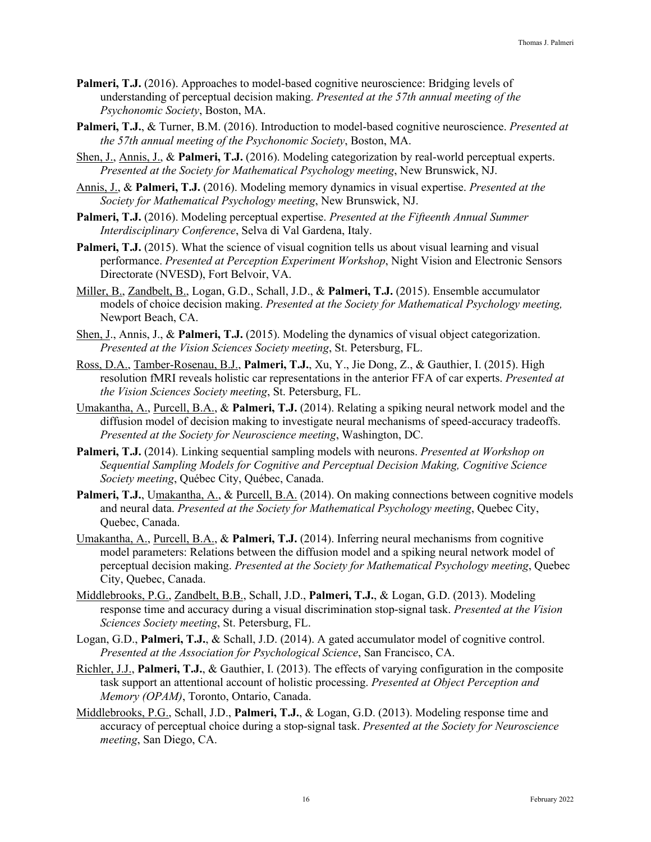- **Palmeri, T.J.** (2016). Approaches to model-based cognitive neuroscience: Bridging levels of understanding of perceptual decision making. *Presented at the 57th annual meeting of the Psychonomic Society*, Boston, MA.
- **Palmeri, T.J.**, & Turner, B.M. (2016). Introduction to model-based cognitive neuroscience. *Presented at the 57th annual meeting of the Psychonomic Society*, Boston, MA.
- Shen, J., Annis, J., & **Palmeri, T.J.** (2016). Modeling categorization by real-world perceptual experts. *Presented at the Society for Mathematical Psychology meeting*, New Brunswick, NJ.
- Annis, J., & **Palmeri, T.J.** (2016). Modeling memory dynamics in visual expertise. *Presented at the Society for Mathematical Psychology meeting*, New Brunswick, NJ.
- **Palmeri, T.J.** (2016). Modeling perceptual expertise. *Presented at the Fifteenth Annual Summer Interdisciplinary Conference*, Selva di Val Gardena, Italy.
- **Palmeri, T.J.** (2015). What the science of visual cognition tells us about visual learning and visual performance. *Presented at Perception Experiment Workshop*, Night Vision and Electronic Sensors Directorate (NVESD), Fort Belvoir, VA.
- Miller, B., Zandbelt, B., Logan, G.D., Schall, J.D., & **Palmeri, T.J.** (2015). Ensemble accumulator models of choice decision making. *Presented at the Society for Mathematical Psychology meeting,*  Newport Beach, CA.
- Shen, J., Annis, J., & **Palmeri, T.J.** (2015). Modeling the dynamics of visual object categorization. *Presented at the Vision Sciences Society meeting*, St. Petersburg, FL.
- Ross, D.A., Tamber-Rosenau, B.J., **Palmeri, T.J.**, Xu, Y., Jie Dong, Z., & Gauthier, I. (2015). High resolution fMRI reveals holistic car representations in the anterior FFA of car experts. *Presented at the Vision Sciences Society meeting*, St. Petersburg, FL.
- Umakantha, A., Purcell, B.A., & **Palmeri, T.J.** (2014). Relating a spiking neural network model and the diffusion model of decision making to investigate neural mechanisms of speed-accuracy tradeoffs. *Presented at the Society for Neuroscience meeting*, Washington, DC.
- **Palmeri, T.J.** (2014). Linking sequential sampling models with neurons. *Presented at Workshop on Sequential Sampling Models for Cognitive and Perceptual Decision Making, Cognitive Science Society meeting*, Québec City, Québec, Canada.
- Palmeri, T.J., Umakantha, A., & Purcell, B.A. (2014). On making connections between cognitive models and neural data. *Presented at the Society for Mathematical Psychology meeting*, Quebec City, Quebec, Canada.
- Umakantha, A., Purcell, B.A., & **Palmeri, T.J.** (2014). Inferring neural mechanisms from cognitive model parameters: Relations between the diffusion model and a spiking neural network model of perceptual decision making. *Presented at the Society for Mathematical Psychology meeting*, Quebec City, Quebec, Canada.
- Middlebrooks, P.G., Zandbelt, B.B., Schall, J.D., **Palmeri, T.J.**, & Logan, G.D. (2013). Modeling response time and accuracy during a visual discrimination stop-signal task. *Presented at the Vision Sciences Society meeting*, St. Petersburg, FL.
- Logan, G.D., **Palmeri, T.J.**, & Schall, J.D. (2014). A gated accumulator model of cognitive control. *Presented at the Association for Psychological Science*, San Francisco, CA.
- Richler, J.J., **Palmeri, T.J.**, & Gauthier, I. (2013). The effects of varying configuration in the composite task support an attentional account of holistic processing. *Presented at Object Perception and Memory (OPAM)*, Toronto, Ontario, Canada.
- Middlebrooks, P.G., Schall, J.D., **Palmeri, T.J.**, & Logan, G.D. (2013). Modeling response time and accuracy of perceptual choice during a stop-signal task. *Presented at the Society for Neuroscience meeting*, San Diego, CA.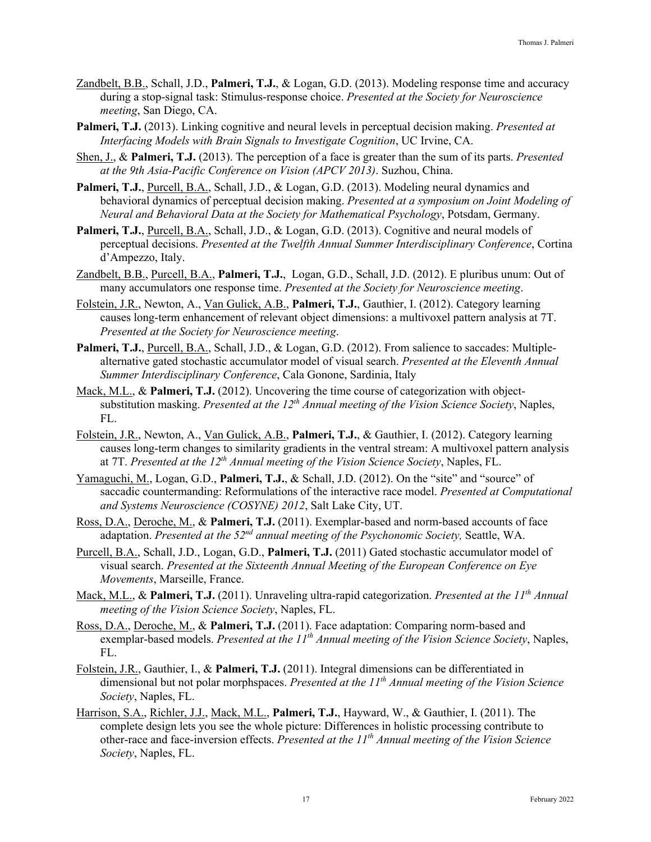- Zandbelt, B.B., Schall, J.D., **Palmeri, T.J.**, & Logan, G.D. (2013). Modeling response time and accuracy during a stop-signal task: Stimulus-response choice. *Presented at the Society for Neuroscience meeting*, San Diego, CA.
- **Palmeri, T.J.** (2013). Linking cognitive and neural levels in perceptual decision making. *Presented at Interfacing Models with Brain Signals to Investigate Cognition*, UC Irvine, CA.
- Shen, J., & **Palmeri, T.J.** (2013). The perception of a face is greater than the sum of its parts. *Presented at the 9th Asia-Pacific Conference on Vision (APCV 2013)*. Suzhou, China.
- Palmeri, T.J., Purcell, B.A., Schall, J.D., & Logan, G.D. (2013). Modeling neural dynamics and behavioral dynamics of perceptual decision making. *Presented at a symposium on Joint Modeling of Neural and Behavioral Data at the Society for Mathematical Psychology*, Potsdam, Germany.
- Palmeri, T.J., Purcell, B.A., Schall, J.D., & Logan, G.D. (2013). Cognitive and neural models of perceptual decisions. *Presented at the Twelfth Annual Summer Interdisciplinary Conference*, Cortina d'Ampezzo, Italy.
- Zandbelt, B.B., Purcell, B.A., **Palmeri, T.J.**, Logan, G.D., Schall, J.D. (2012). E pluribus unum: Out of many accumulators one response time. *Presented at the Society for Neuroscience meeting*.
- Folstein, J.R., Newton, A., Van Gulick, A.B., **Palmeri, T.J.**, Gauthier, I. (2012). Category learning causes long-term enhancement of relevant object dimensions: a multivoxel pattern analysis at 7T. *Presented at the Society for Neuroscience meeting*.
- Palmeri, T.J., Purcell, B.A., Schall, J.D., & Logan, G.D. (2012). From salience to saccades: Multiplealternative gated stochastic accumulator model of visual search. *Presented at the Eleventh Annual Summer Interdisciplinary Conference*, Cala Gonone, Sardinia, Italy
- Mack, M.L., & **Palmeri, T.J.** (2012). Uncovering the time course of categorization with objectsubstitution masking. *Presented at the 12th Annual meeting of the Vision Science Society*, Naples, FL.
- Folstein, J.R., Newton, A., Van Gulick, A.B., **Palmeri, T.J.**, & Gauthier, I. (2012). Category learning causes long-term changes to similarity gradients in the ventral stream: A multivoxel pattern analysis at 7T. *Presented at the 12th Annual meeting of the Vision Science Society*, Naples, FL.
- Yamaguchi, M., Logan, G.D., **Palmeri, T.J.**, & Schall, J.D. (2012). On the "site" and "source" of saccadic countermanding: Reformulations of the interactive race model. *Presented at Computational and Systems Neuroscience (COSYNE) 2012*, Salt Lake City, UT.
- Ross, D.A., Deroche, M., & **Palmeri, T.J.** (2011). Exemplar-based and norm-based accounts of face adaptation. *Presented at the 52nd annual meeting of the Psychonomic Society,* Seattle, WA.
- Purcell, B.A., Schall, J.D., Logan, G.D., **Palmeri, T.J.** (2011) Gated stochastic accumulator model of visual search. *Presented at the Sixteenth Annual Meeting of the European Conference on Eye Movements*, Marseille, France.
- Mack, M.L., & Palmeri, T.J. (2011). Unraveling ultra-rapid categorization. Presented at the 11<sup>th</sup> Annual *meeting of the Vision Science Society*, Naples, FL.
- Ross, D.A., Deroche, M., & **Palmeri, T.J.** (2011). Face adaptation: Comparing norm-based and exemplar-based models. *Presented at the 11th Annual meeting of the Vision Science Society*, Naples, FL.
- Folstein, J.R., Gauthier, I., & **Palmeri, T.J.** (2011). Integral dimensions can be differentiated in dimensional but not polar morphspaces. *Presented at the 11th Annual meeting of the Vision Science Society*, Naples, FL.
- Harrison, S.A., Richler, J.J., Mack, M.L., **Palmeri, T.J.**, Hayward, W., & Gauthier, I. (2011). The complete design lets you see the whole picture: Differences in holistic processing contribute to other-race and face-inversion effects. *Presented at the 11th Annual meeting of the Vision Science Society*, Naples, FL.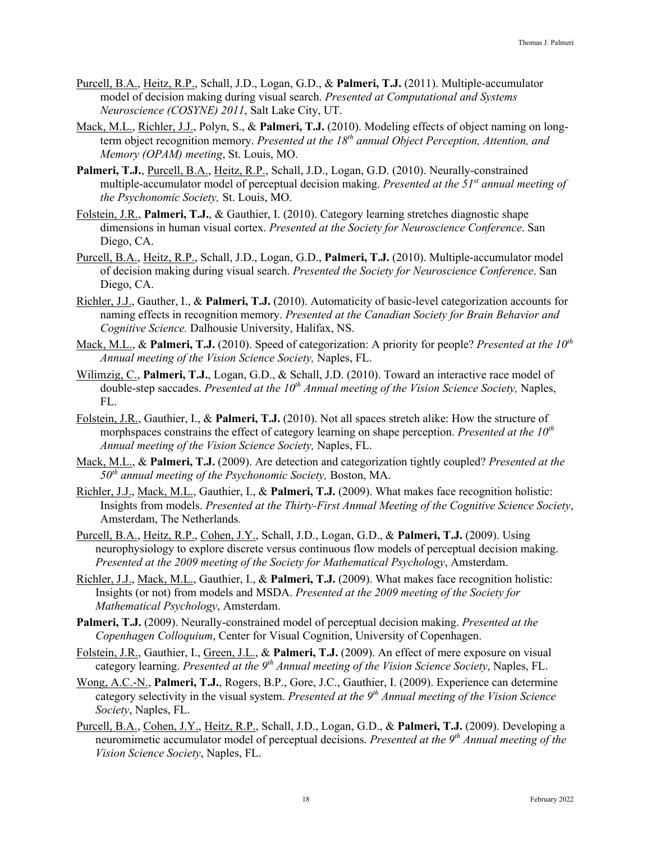- Purcell, B.A., Heitz, R.P., Schall, J.D., Logan, G.D., & **Palmeri, T.J.** (2011). Multiple-accumulator model of decision making during visual search. *Presented at Computational and Systems Neuroscience (COSYNE) 2011*, Salt Lake City, UT.
- Mack, M.L., Richler, J.J., Polyn, S., & **Palmeri, T.J.** (2010). Modeling effects of object naming on longterm object recognition memory. *Presented at the 18th annual Object Perception, Attention, and Memory (OPAM) meeting*, St. Louis, MO.
- **Palmeri, T.J.**, Purcell, B.A., Heitz, R.P., Schall, J.D., Logan, G.D. (2010). Neurally-constrained multiple-accumulator model of perceptual decision making. *Presented at the 51st annual meeting of the Psychonomic Society,* St. Louis, MO.
- Folstein, J.R., **Palmeri, T.J.**, & Gauthier, I. (2010). Category learning stretches diagnostic shape dimensions in human visual cortex. *Presented at the Society for Neuroscience Conference*. San Diego, CA.
- Purcell, B.A., Heitz, R.P., Schall, J.D., Logan, G.D., **Palmeri, T.J.** (2010). Multiple-accumulator model of decision making during visual search. *Presented the Society for Neuroscience Conference*. San Diego, CA.
- Richler, J.J., Gauther, I., & **Palmeri, T.J.** (2010). Automaticity of basic-level categorization accounts for naming effects in recognition memory. *Presented at the Canadian Society for Brain Behavior and Cognitive Science.* Dalhousie University, Halifax, NS.
- Mack, M.L., & **Palmeri, T.J.** (2010). Speed of categorization: A priority for people? *Presented at the 10<sup>th</sup> Annual meeting of the Vision Science Society,* Naples, FL.
- Wilimzig, C., **Palmeri, T.J.**, Logan, G.D., & Schall, J.D. (2010). Toward an interactive race model of double-step saccades. Presented at the 10<sup>th</sup> Annual meeting of the Vision Science Society, Naples, FL.
- Folstein, J.R., Gauthier, I., & **Palmeri, T.J.** (2010). Not all spaces stretch alike: How the structure of morphspaces constrains the effect of category learning on shape perception. *Presented at the 10th Annual meeting of the Vision Science Society,* Naples, FL.
- Mack, M.L., & **Palmeri, T.J.** (2009). Are detection and categorization tightly coupled? *Presented at the 50th annual meeting of the Psychonomic Society,* Boston, MA.
- Richler, J.J., Mack, M.L., Gauthier, I., & **Palmeri, T.J.** (2009). What makes face recognition holistic: Insights from models. *Presented at the Thirty-First Annual Meeting of the Cognitive Science Society*, Amsterdam, The Netherlands*.*
- Purcell, B.A., Heitz, R.P., Cohen, J.Y., Schall, J.D., Logan, G.D., & **Palmeri, T.J.** (2009). Using neurophysiology to explore discrete versus continuous flow models of perceptual decision making. *Presented at the 2009 meeting of the Society for Mathematical Psychology*, Amsterdam.
- Richler, J.J., Mack, M.L., Gauthier, I., & **Palmeri, T.J.** (2009). What makes face recognition holistic: Insights (or not) from models and MSDA. *Presented at the 2009 meeting of the Society for Mathematical Psychology*, Amsterdam.
- **Palmeri, T.J.** (2009). Neurally-constrained model of perceptual decision making. *Presented at the Copenhagen Colloquium*, Center for Visual Cognition, University of Copenhagen.
- Folstein, J.R., Gauthier, I., Green, J.L., & **Palmeri, T.J.** (2009). An effect of mere exposure on visual category learning. *Presented at the 9th Annual meeting of the Vision Science Society*, Naples, FL.
- Wong, A.C.-N., **Palmeri, T.J.**, Rogers, B.P., Gore, J.C., Gauthier, I. (2009). Experience can determine category selectivity in the visual system. *Presented at the 9th Annual meeting of the Vision Science Society*, Naples, FL.
- Purcell, B.A., Cohen, J.Y., Heitz, R.P., Schall, J.D., Logan, G.D., & **Palmeri, T.J.** (2009). Developing a neuromimetic accumulator model of perceptual decisions. *Presented at the 9th Annual meeting of the Vision Science Society*, Naples, FL.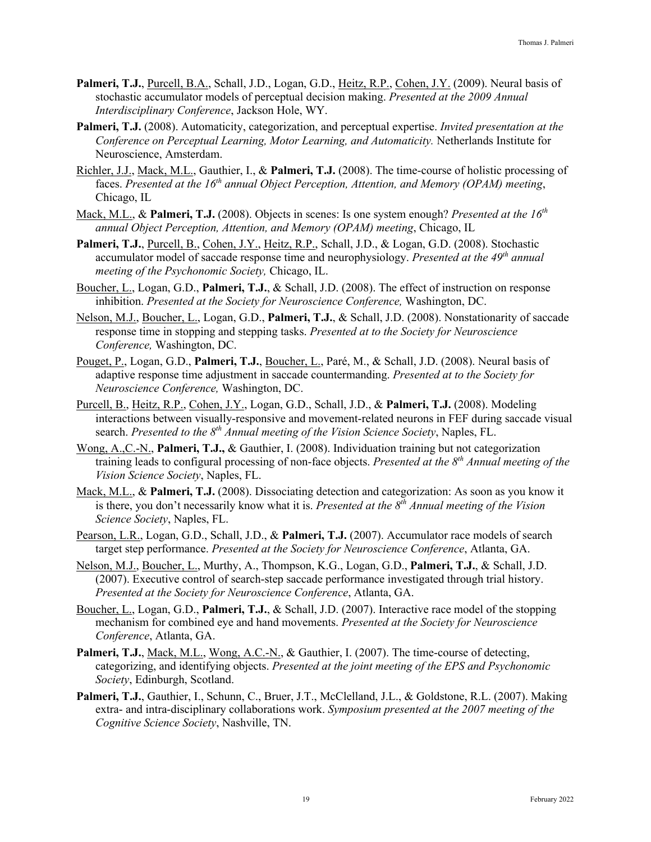- Palmeri, T.J., Purcell, B.A., Schall, J.D., Logan, G.D., Heitz, R.P., Cohen, J.Y. (2009). Neural basis of stochastic accumulator models of perceptual decision making. *Presented at the 2009 Annual Interdisciplinary Conference*, Jackson Hole, WY.
- **Palmeri, T.J.** (2008). Automaticity, categorization, and perceptual expertise. *Invited presentation at the Conference on Perceptual Learning, Motor Learning, and Automaticity.* Netherlands Institute for Neuroscience, Amsterdam.
- Richler, J.J., Mack, M.L., Gauthier, I., & **Palmeri, T.J.** (2008). The time-course of holistic processing of faces. *Presented at the 16th annual Object Perception, Attention, and Memory (OPAM) meeting*, Chicago, IL
- Mack, M.L., & **Palmeri, T.J.** (2008). Objects in scenes: Is one system enough? *Presented at the 16th annual Object Perception, Attention, and Memory (OPAM) meeting*, Chicago, IL
- Palmeri, T.J., Purcell, B., Cohen, J.Y., Heitz, R.P., Schall, J.D., & Logan, G.D. (2008). Stochastic accumulator model of saccade response time and neurophysiology. *Presented at the 49th annual meeting of the Psychonomic Society,* Chicago, IL.
- Boucher, L., Logan, G.D., **Palmeri, T.J.**, & Schall, J.D. (2008). The effect of instruction on response inhibition. *Presented at the Society for Neuroscience Conference,* Washington, DC.
- Nelson, M.J., Boucher, L., Logan, G.D., **Palmeri, T.J.**, & Schall, J.D. (2008). Nonstationarity of saccade response time in stopping and stepping tasks. *Presented at to the Society for Neuroscience Conference,* Washington, DC.
- Pouget, P., Logan, G.D., **Palmeri, T.J.**, Boucher, L., Paré, M., & Schall, J.D. (2008). Neural basis of adaptive response time adjustment in saccade countermanding. *Presented at to the Society for Neuroscience Conference,* Washington, DC.
- Purcell, B., Heitz, R.P., Cohen, J.Y., Logan, G.D., Schall, J.D., & **Palmeri, T.J.** (2008). Modeling interactions between visually-responsive and movement-related neurons in FEF during saccade visual search. *Presented to the 8th Annual meeting of the Vision Science Society*, Naples, FL.
- Wong, A.,C.-N., **Palmeri, T.J.,** & Gauthier, I. (2008). Individuation training but not categorization training leads to configural processing of non-face objects. *Presented at the 8th Annual meeting of the Vision Science Society*, Naples, FL.
- Mack, M.L., & **Palmeri, T.J.** (2008). Dissociating detection and categorization: As soon as you know it is there, you don't necessarily know what it is. *Presented at the 8<sup>th</sup> Annual meeting of the Vision Science Society*, Naples, FL.
- Pearson, L.R., Logan, G.D., Schall, J.D., & **Palmeri, T.J.** (2007). Accumulator race models of search target step performance. *Presented at the Society for Neuroscience Conference*, Atlanta, GA.
- Nelson, M.J., Boucher, L., Murthy, A., Thompson, K.G., Logan, G.D., **Palmeri, T.J.**, & Schall, J.D. (2007). Executive control of search-step saccade performance investigated through trial history. *Presented at the Society for Neuroscience Conference*, Atlanta, GA.
- Boucher, L., Logan, G.D., **Palmeri, T.J.**, & Schall, J.D. (2007). Interactive race model of the stopping mechanism for combined eye and hand movements. *Presented at the Society for Neuroscience Conference*, Atlanta, GA.
- Palmeri, T.J., Mack, M.L., Wong, A.C.-N., & Gauthier, I. (2007). The time-course of detecting, categorizing, and identifying objects. *Presented at the joint meeting of the EPS and Psychonomic Society*, Edinburgh, Scotland.
- Palmeri, T.J., Gauthier, I., Schunn, C., Bruer, J.T., McClelland, J.L., & Goldstone, R.L. (2007). Making extra- and intra-disciplinary collaborations work. *Symposium presented at the 2007 meeting of the Cognitive Science Society*, Nashville, TN.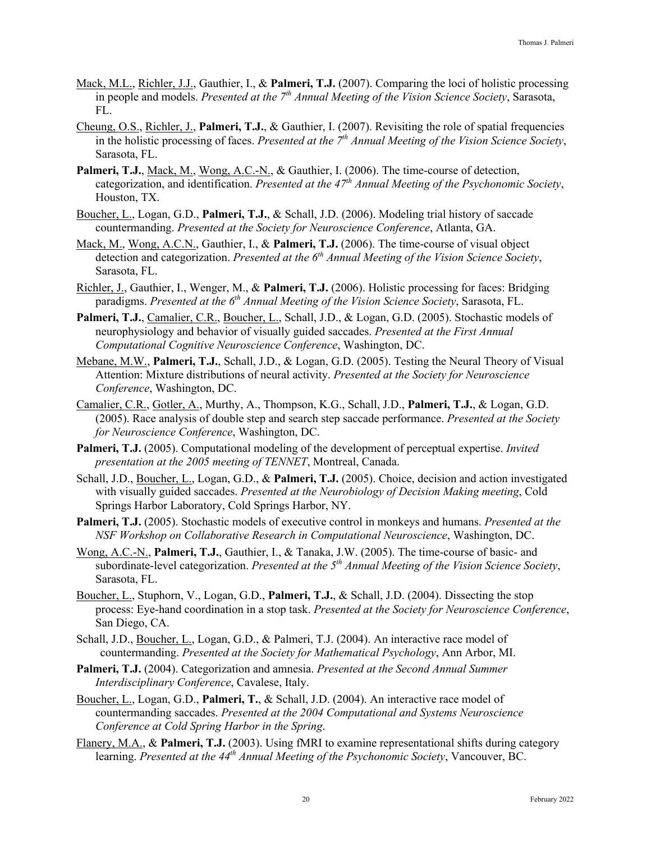- Mack, M.L., Richler, J.J., Gauthier, I., & **Palmeri, T.J.** (2007). Comparing the loci of holistic processing in people and models. *Presented at the 7th Annual Meeting of the Vision Science Society*, Sarasota, FL.
- Cheung, O.S., Richler, J., **Palmeri, T.J.**, & Gauthier, I. (2007). Revisiting the role of spatial frequencies in the holistic processing of faces. *Presented at the 7th Annual Meeting of the Vision Science Society*, Sarasota, FL.
- **Palmeri, T.J.**, Mack, M., Wong, A.C.-N., & Gauthier, I. (2006). The time-course of detection, categorization, and identification. *Presented at the 47th Annual Meeting of the Psychonomic Society*, Houston, TX.
- Boucher, L., Logan, G.D., **Palmeri, T.J.**, & Schall, J.D. (2006). Modeling trial history of saccade countermanding. *Presented at the Society for Neuroscience Conference*, Atlanta, GA.
- Mack, M., Wong, A.C.N., Gauthier, I., & **Palmeri, T.J.** (2006). The time-course of visual object detection and categorization. *Presented at the 6th Annual Meeting of the Vision Science Society*, Sarasota, FL.
- Richler, J., Gauthier, I., Wenger, M., & **Palmeri, T.J.** (2006). Holistic processing for faces: Bridging paradigms. *Presented at the 6th Annual Meeting of the Vision Science Society*, Sarasota, FL.
- **Palmeri, T.J.**, Camalier, C.R., Boucher, L., Schall, J.D., & Logan, G.D. (2005). Stochastic models of neurophysiology and behavior of visually guided saccades. *Presented at the First Annual Computational Cognitive Neuroscience Conference*, Washington, DC.
- Mebane, M.W., **Palmeri, T.J.**, Schall, J.D., & Logan, G.D. (2005). Testing the Neural Theory of Visual Attention: Mixture distributions of neural activity. *Presented at the Society for Neuroscience Conference*, Washington, DC.
- Camalier, C.R., Gotler, A., Murthy, A., Thompson, K.G., Schall, J.D., **Palmeri, T.J.**, & Logan, G.D. (2005). Race analysis of double step and search step saccade performance. *Presented at the Society for Neuroscience Conference*, Washington, DC.
- **Palmeri, T.J.** (2005). Computational modeling of the development of perceptual expertise. *Invited presentation at the 2005 meeting of TENNET*, Montreal, Canada.
- Schall, J.D., Boucher, L., Logan, G.D., & **Palmeri, T.J.** (2005). Choice, decision and action investigated with visually guided saccades. *Presented at the Neurobiology of Decision Making meeting*, Cold Springs Harbor Laboratory, Cold Springs Harbor, NY.
- **Palmeri, T.J.** (2005). Stochastic models of executive control in monkeys and humans. *Presented at the NSF Workshop on Collaborative Research in Computational Neuroscience*, Washington, DC.
- Wong, A.C.-N., **Palmeri, T.J.**, Gauthier, I., & Tanaka, J.W. (2005). The time-course of basic- and subordinate-level categorization. *Presented at the 5th Annual Meeting of the Vision Science Society*, Sarasota, FL.
- Boucher, L., Stuphorn, V., Logan, G.D., **Palmeri, T.J.**, & Schall, J.D. (2004). Dissecting the stop process: Eye-hand coordination in a stop task. *Presented at the Society for Neuroscience Conference*, San Diego, CA.
- Schall, J.D., Boucher, L., Logan, G.D., & Palmeri, T.J. (2004). An interactive race model of countermanding. *Presented at the Society for Mathematical Psychology*, Ann Arbor, MI.
- **Palmeri, T.J.** (2004). Categorization and amnesia. *Presented at the Second Annual Summer Interdisciplinary Conference*, Cavalese, Italy.
- Boucher, L., Logan, G.D., **Palmeri, T.**, & Schall, J.D. (2004). An interactive race model of countermanding saccades. *Presented at the 2004 Computational and Systems Neuroscience Conference at Cold Spring Harbor in the Spring*.
- Flanery, M.A., & **Palmeri, T.J.** (2003). Using fMRI to examine representational shifts during category learning. *Presented at the 44th Annual Meeting of the Psychonomic Society*, Vancouver, BC.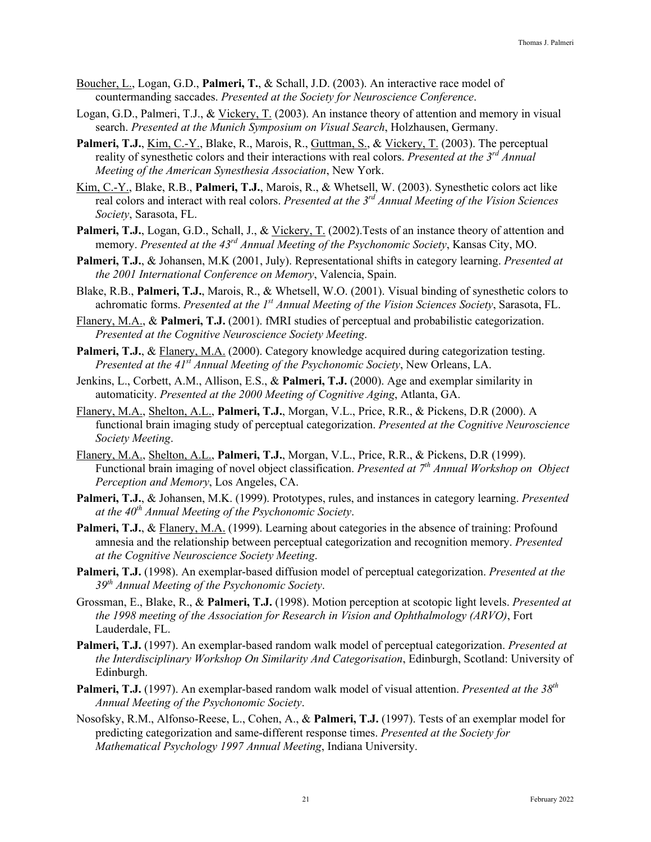- Boucher, L., Logan, G.D., **Palmeri, T.**, & Schall, J.D. (2003). An interactive race model of countermanding saccades. *Presented at the Society for Neuroscience Conference*.
- Logan, G.D., Palmeri, T.J., & Vickery, T. (2003). An instance theory of attention and memory in visual search. *Presented at the Munich Symposium on Visual Search*, Holzhausen, Germany.
- Palmeri, T.J., <u>Kim, C.-Y.</u>, Blake, R., Marois, R., Guttman, S., & Vickery, T. (2003). The perceptual reality of synesthetic colors and their interactions with real colors. *Presented at the 3rd Annual Meeting of the American Synesthesia Association*, New York.
- Kim, C.-Y., Blake, R.B., **Palmeri, T.J.**, Marois, R., & Whetsell, W. (2003). Synesthetic colors act like real colors and interact with real colors. *Presented at the 3rd Annual Meeting of the Vision Sciences Society*, Sarasota, FL.
- Palmeri, T.J., Logan, G.D., Schall, J., & Vickery, T. (2002). Tests of an instance theory of attention and memory. *Presented at the 43rd Annual Meeting of the Psychonomic Society*, Kansas City, MO.
- **Palmeri, T.J.**, & Johansen, M.K (2001, July). Representational shifts in category learning. *Presented at the 2001 International Conference on Memory*, Valencia, Spain.
- Blake, R.B., **Palmeri, T.J.**, Marois, R., & Whetsell, W.O. (2001). Visual binding of synesthetic colors to achromatic forms. *Presented at the 1st Annual Meeting of the Vision Sciences Society*, Sarasota, FL.
- Flanery, M.A., & **Palmeri, T.J.** (2001). fMRI studies of perceptual and probabilistic categorization. *Presented at the Cognitive Neuroscience Society Meeting*.
- Palmeri, T.J., & Flanery, M.A. (2000). Category knowledge acquired during categorization testing. *Presented at the 41st Annual Meeting of the Psychonomic Society*, New Orleans, LA.
- Jenkins, L., Corbett, A.M., Allison, E.S., & **Palmeri, T.J.** (2000). Age and exemplar similarity in automaticity. *Presented at the 2000 Meeting of Cognitive Aging*, Atlanta, GA.
- Flanery, M.A., Shelton, A.L., **Palmeri, T.J.**, Morgan, V.L., Price, R.R., & Pickens, D.R (2000). A functional brain imaging study of perceptual categorization. *Presented at the Cognitive Neuroscience Society Meeting*.
- Flanery, M.A., Shelton, A.L., **Palmeri, T.J.**, Morgan, V.L., Price, R.R., & Pickens, D.R (1999). Functional brain imaging of novel object classification. *Presented at 7th Annual Workshop on Object Perception and Memory*, Los Angeles, CA.
- **Palmeri, T.J.**, & Johansen, M.K. (1999). Prototypes, rules, and instances in category learning. *Presented at the 40th Annual Meeting of the Psychonomic Society*.
- **Palmeri, T.J.**, & Flanery, M.A. (1999). Learning about categories in the absence of training: Profound amnesia and the relationship between perceptual categorization and recognition memory. *Presented at the Cognitive Neuroscience Society Meeting*.
- **Palmeri, T.J.** (1998). An exemplar-based diffusion model of perceptual categorization. *Presented at the 39th Annual Meeting of the Psychonomic Society*.
- Grossman, E., Blake, R., & **Palmeri, T.J.** (1998). Motion perception at scotopic light levels. *Presented at the 1998 meeting of the Association for Research in Vision and Ophthalmology (ARVO)*, Fort Lauderdale, FL.
- **Palmeri, T.J.** (1997). An exemplar-based random walk model of perceptual categorization. *Presented at the Interdisciplinary Workshop On Similarity And Categorisation*, Edinburgh, Scotland: University of Edinburgh.
- **Palmeri, T.J.** (1997). An exemplar-based random walk model of visual attention. *Presented at the 38th Annual Meeting of the Psychonomic Society*.
- Nosofsky, R.M., Alfonso-Reese, L., Cohen, A., & **Palmeri, T.J.** (1997). Tests of an exemplar model for predicting categorization and same-different response times. *Presented at the Society for Mathematical Psychology 1997 Annual Meeting*, Indiana University.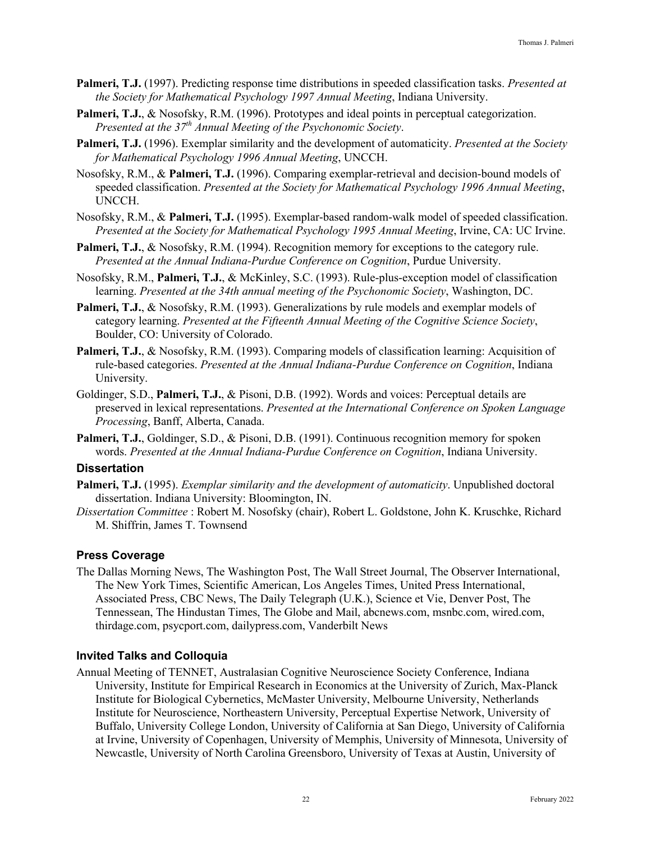- **Palmeri, T.J.** (1997). Predicting response time distributions in speeded classification tasks. *Presented at the Society for Mathematical Psychology 1997 Annual Meeting*, Indiana University.
- Palmeri, T.J., & Nosofsky, R.M. (1996). Prototypes and ideal points in perceptual categorization. *Presented at the 37th Annual Meeting of the Psychonomic Society*.
- **Palmeri, T.J.** (1996). Exemplar similarity and the development of automaticity. *Presented at the Society for Mathematical Psychology 1996 Annual Meeting*, UNCCH.
- Nosofsky, R.M., & **Palmeri, T.J.** (1996). Comparing exemplar-retrieval and decision-bound models of speeded classification. *Presented at the Society for Mathematical Psychology 1996 Annual Meeting*, UNCCH.
- Nosofsky, R.M., & **Palmeri, T.J.** (1995). Exemplar-based random-walk model of speeded classification. *Presented at the Society for Mathematical Psychology 1995 Annual Meeting*, Irvine, CA: UC Irvine.
- **Palmeri, T.J., & Nosofsky, R.M. (1994). Recognition memory for exceptions to the category rule.** *Presented at the Annual Indiana-Purdue Conference on Cognition*, Purdue University.
- Nosofsky, R.M., **Palmeri, T.J.**, & McKinley, S.C. (1993). Rule-plus-exception model of classification learning. *Presented at the 34th annual meeting of the Psychonomic Society*, Washington, DC.
- Palmeri, T.J., & Nosofsky, R.M. (1993). Generalizations by rule models and exemplar models of category learning. *Presented at the Fifteenth Annual Meeting of the Cognitive Science Society*, Boulder, CO: University of Colorado.
- Palmeri, T.J., & Nosofsky, R.M. (1993). Comparing models of classification learning: Acquisition of rule-based categories. *Presented at the Annual Indiana-Purdue Conference on Cognition*, Indiana University.
- Goldinger, S.D., **Palmeri, T.J.**, & Pisoni, D.B. (1992). Words and voices: Perceptual details are preserved in lexical representations. *Presented at the International Conference on Spoken Language Processing*, Banff, Alberta, Canada.
- Palmeri, T.J., Goldinger, S.D., & Pisoni, D.B. (1991). Continuous recognition memory for spoken words. *Presented at the Annual Indiana-Purdue Conference on Cognition*, Indiana University.

### **Dissertation**

- **Palmeri, T.J.** (1995). *Exemplar similarity and the development of automaticity*. Unpublished doctoral dissertation. Indiana University: Bloomington, IN.
- *Dissertation Committee* : Robert M. Nosofsky (chair), Robert L. Goldstone, John K. Kruschke, Richard M. Shiffrin, James T. Townsend

### **Press Coverage**

The Dallas Morning News, The Washington Post, The Wall Street Journal, The Observer International, The New York Times, Scientific American, Los Angeles Times, United Press International, Associated Press, CBC News, The Daily Telegraph (U.K.), Science et Vie, Denver Post, The Tennessean, The Hindustan Times, The Globe and Mail, abcnews.com, msnbc.com, wired.com, thirdage.com, psycport.com, dailypress.com, Vanderbilt News

### **Invited Talks and Colloquia**

Annual Meeting of TENNET, Australasian Cognitive Neuroscience Society Conference, Indiana University, Institute for Empirical Research in Economics at the University of Zurich, Max-Planck Institute for Biological Cybernetics, McMaster University, Melbourne University, Netherlands Institute for Neuroscience, Northeastern University, Perceptual Expertise Network, University of Buffalo, University College London, University of California at San Diego, University of California at Irvine, University of Copenhagen, University of Memphis, University of Minnesota, University of Newcastle, University of North Carolina Greensboro, University of Texas at Austin, University of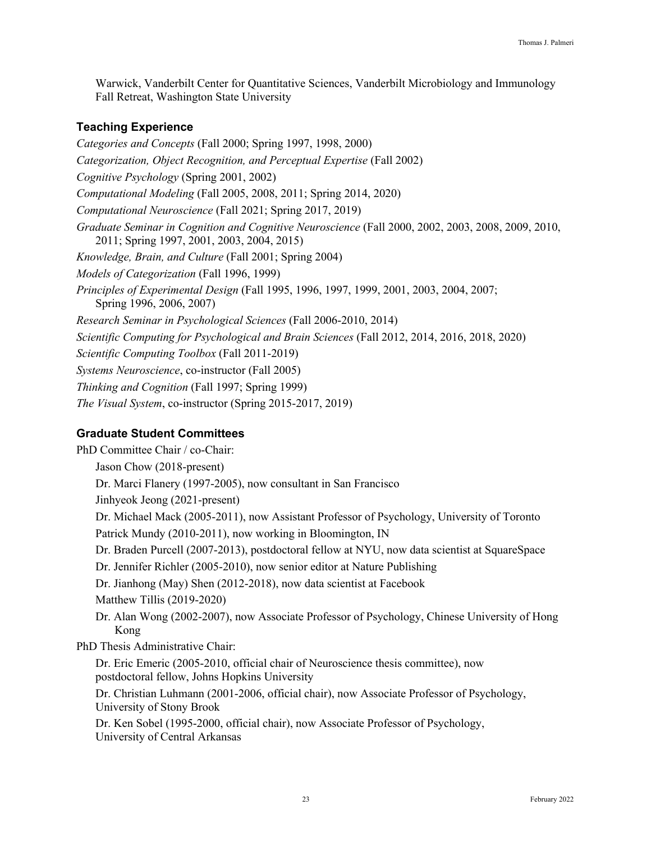Warwick, Vanderbilt Center for Quantitative Sciences, Vanderbilt Microbiology and Immunology Fall Retreat, Washington State University

## **Teaching Experience**

*Categories and Concepts* (Fall 2000; Spring 1997, 1998, 2000) *Categorization, Object Recognition, and Perceptual Expertise* (Fall 2002) *Cognitive Psychology* (Spring 2001, 2002) *Computational Modeling* (Fall 2005, 2008, 2011; Spring 2014, 2020) *Computational Neuroscience* (Fall 2021; Spring 2017, 2019) *Graduate Seminar in Cognition and Cognitive Neuroscience* (Fall 2000, 2002, 2003, 2008, 2009, 2010, 2011; Spring 1997, 2001, 2003, 2004, 2015) *Knowledge, Brain, and Culture* (Fall 2001; Spring 2004) *Models of Categorization* (Fall 1996, 1999) *Principles of Experimental Design* (Fall 1995, 1996, 1997, 1999, 2001, 2003, 2004, 2007; Spring 1996, 2006, 2007) *Research Seminar in Psychological Sciences* (Fall 2006-2010, 2014) *Scientific Computing for Psychological and Brain Sciences* (Fall 2012, 2014, 2016, 2018, 2020) *Scientific Computing Toolbox* (Fall 2011-2019) *Systems Neuroscience*, co-instructor (Fall 2005) *Thinking and Cognition* (Fall 1997; Spring 1999) *The Visual System*, co-instructor (Spring 2015-2017, 2019)

# **Graduate Student Committees**

PhD Committee Chair / co-Chair: Jason Chow (2018-present) Dr. Marci Flanery (1997-2005), now consultant in San Francisco Jinhyeok Jeong (2021-present) Dr. Michael Mack (2005-2011), now Assistant Professor of Psychology, University of Toronto Patrick Mundy (2010-2011), now working in Bloomington, IN Dr. Braden Purcell (2007-2013), postdoctoral fellow at NYU, now data scientist at SquareSpace Dr. Jennifer Richler (2005-2010), now senior editor at Nature Publishing Dr. Jianhong (May) Shen (2012-2018), now data scientist at Facebook Matthew Tillis (2019-2020) Dr. Alan Wong (2002-2007), now Associate Professor of Psychology, Chinese University of Hong Kong PhD Thesis Administrative Chair: Dr. Eric Emeric (2005-2010, official chair of Neuroscience thesis committee), now postdoctoral fellow, Johns Hopkins University Dr. Christian Luhmann (2001-2006, official chair), now Associate Professor of Psychology, University of Stony Brook Dr. Ken Sobel (1995-2000, official chair), now Associate Professor of Psychology, University of Central Arkansas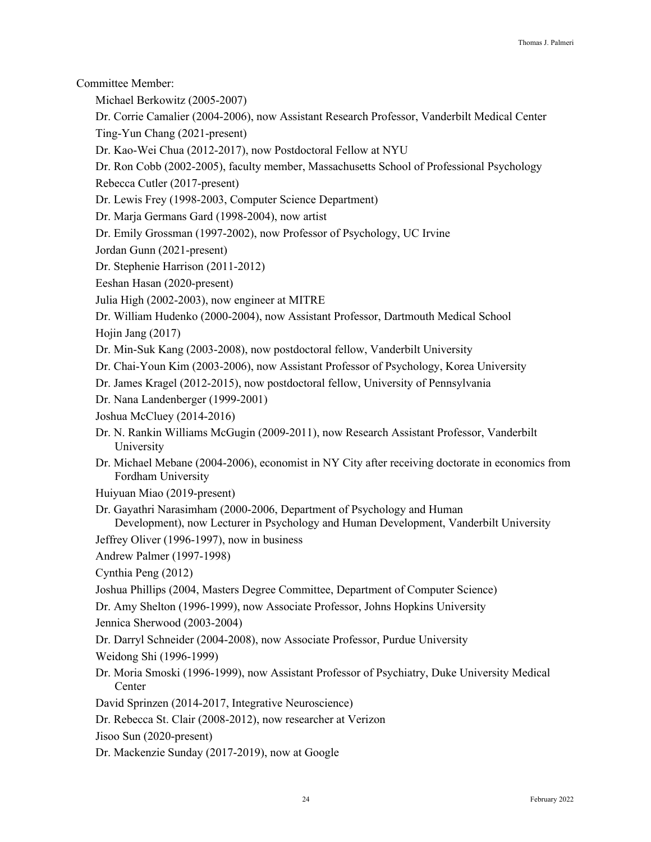Committee Member:

Michael Berkowitz (2005-2007)

Dr. Corrie Camalier (2004-2006), now Assistant Research Professor, Vanderbilt Medical Center Ting-Yun Chang (2021-present)

Dr. Kao-Wei Chua (2012-2017), now Postdoctoral Fellow at NYU

Dr. Ron Cobb (2002-2005), faculty member, Massachusetts School of Professional Psychology

Rebecca Cutler (2017-present)

Dr. Lewis Frey (1998-2003, Computer Science Department)

Dr. Marja Germans Gard (1998-2004), now artist

Dr. Emily Grossman (1997-2002), now Professor of Psychology, UC Irvine

Jordan Gunn (2021-present)

Dr. Stephenie Harrison (2011-2012)

Eeshan Hasan (2020-present)

Julia High (2002-2003), now engineer at MITRE

Dr. William Hudenko (2000-2004), now Assistant Professor, Dartmouth Medical School Hojin Jang (2017)

Dr. Min-Suk Kang (2003-2008), now postdoctoral fellow, Vanderbilt University

Dr. Chai-Youn Kim (2003-2006), now Assistant Professor of Psychology, Korea University

Dr. James Kragel (2012-2015), now postdoctoral fellow, University of Pennsylvania

Dr. Nana Landenberger (1999-2001)

Joshua McCluey (2014-2016)

Dr. N. Rankin Williams McGugin (2009-2011), now Research Assistant Professor, Vanderbilt University

Dr. Michael Mebane (2004-2006), economist in NY City after receiving doctorate in economics from Fordham University

Huiyuan Miao (2019-present)

Dr. Gayathri Narasimham (2000-2006, Department of Psychology and Human Development), now Lecturer in Psychology and Human Development, Vanderbilt University

Jeffrey Oliver (1996-1997), now in business

Andrew Palmer (1997-1998)

Cynthia Peng (2012)

Joshua Phillips (2004, Masters Degree Committee, Department of Computer Science)

Dr. Amy Shelton (1996-1999), now Associate Professor, Johns Hopkins University

Jennica Sherwood (2003-2004)

Dr. Darryl Schneider (2004-2008), now Associate Professor, Purdue University

Weidong Shi (1996-1999)

Dr. Moria Smoski (1996-1999), now Assistant Professor of Psychiatry, Duke University Medical Center

David Sprinzen (2014-2017, Integrative Neuroscience)

Dr. Rebecca St. Clair (2008-2012), now researcher at Verizon

Jisoo Sun (2020-present)

Dr. Mackenzie Sunday (2017-2019), now at Google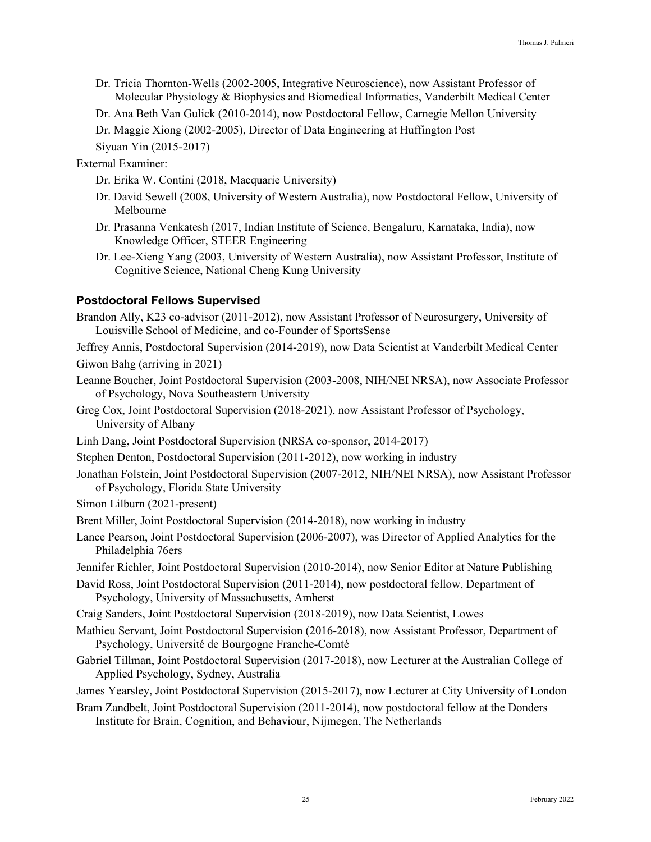- Dr. Tricia Thornton-Wells (2002-2005, Integrative Neuroscience), now Assistant Professor of Molecular Physiology & Biophysics and Biomedical Informatics, Vanderbilt Medical Center
- Dr. Ana Beth Van Gulick (2010-2014), now Postdoctoral Fellow, Carnegie Mellon University

Dr. Maggie Xiong (2002-2005), Director of Data Engineering at Huffington Post

Siyuan Yin (2015-2017)

External Examiner:

Dr. Erika W. Contini (2018, Macquarie University)

- Dr. David Sewell (2008, University of Western Australia), now Postdoctoral Fellow, University of Melbourne
- Dr. Prasanna Venkatesh (2017, Indian Institute of Science, Bengaluru, Karnataka, India), now Knowledge Officer, STEER Engineering
- Dr. Lee-Xieng Yang (2003, University of Western Australia), now Assistant Professor, Institute of Cognitive Science, National Cheng Kung University

### **Postdoctoral Fellows Supervised**

- Brandon Ally, K23 co-advisor (2011-2012), now Assistant Professor of Neurosurgery, University of Louisville School of Medicine, and co-Founder of SportsSense
- Jeffrey Annis, Postdoctoral Supervision (2014-2019), now Data Scientist at Vanderbilt Medical Center Giwon Bahg (arriving in 2021)
- Leanne Boucher, Joint Postdoctoral Supervision (2003-2008, NIH/NEI NRSA), now Associate Professor of Psychology, Nova Southeastern University
- Greg Cox, Joint Postdoctoral Supervision (2018-2021), now Assistant Professor of Psychology, University of Albany
- Linh Dang, Joint Postdoctoral Supervision (NRSA co-sponsor, 2014-2017)
- Stephen Denton, Postdoctoral Supervision (2011-2012), now working in industry
- Jonathan Folstein, Joint Postdoctoral Supervision (2007-2012, NIH/NEI NRSA), now Assistant Professor of Psychology, Florida State University
- Simon Lilburn (2021-present)
- Brent Miller, Joint Postdoctoral Supervision (2014-2018), now working in industry
- Lance Pearson, Joint Postdoctoral Supervision (2006-2007), was Director of Applied Analytics for the Philadelphia 76ers
- Jennifer Richler, Joint Postdoctoral Supervision (2010-2014), now Senior Editor at Nature Publishing
- David Ross, Joint Postdoctoral Supervision (2011-2014), now postdoctoral fellow, Department of Psychology, University of Massachusetts, Amherst
- Craig Sanders, Joint Postdoctoral Supervision (2018-2019), now Data Scientist, Lowes
- Mathieu Servant, Joint Postdoctoral Supervision (2016-2018), now Assistant Professor, Department of Psychology, Université de Bourgogne Franche-Comté
- Gabriel Tillman, Joint Postdoctoral Supervision (2017-2018), now Lecturer at the Australian College of Applied Psychology, Sydney, Australia
- James Yearsley, Joint Postdoctoral Supervision (2015-2017), now Lecturer at City University of London
- Bram Zandbelt, Joint Postdoctoral Supervision (2011-2014), now postdoctoral fellow at the Donders Institute for Brain, Cognition, and Behaviour, Nijmegen, The Netherlands